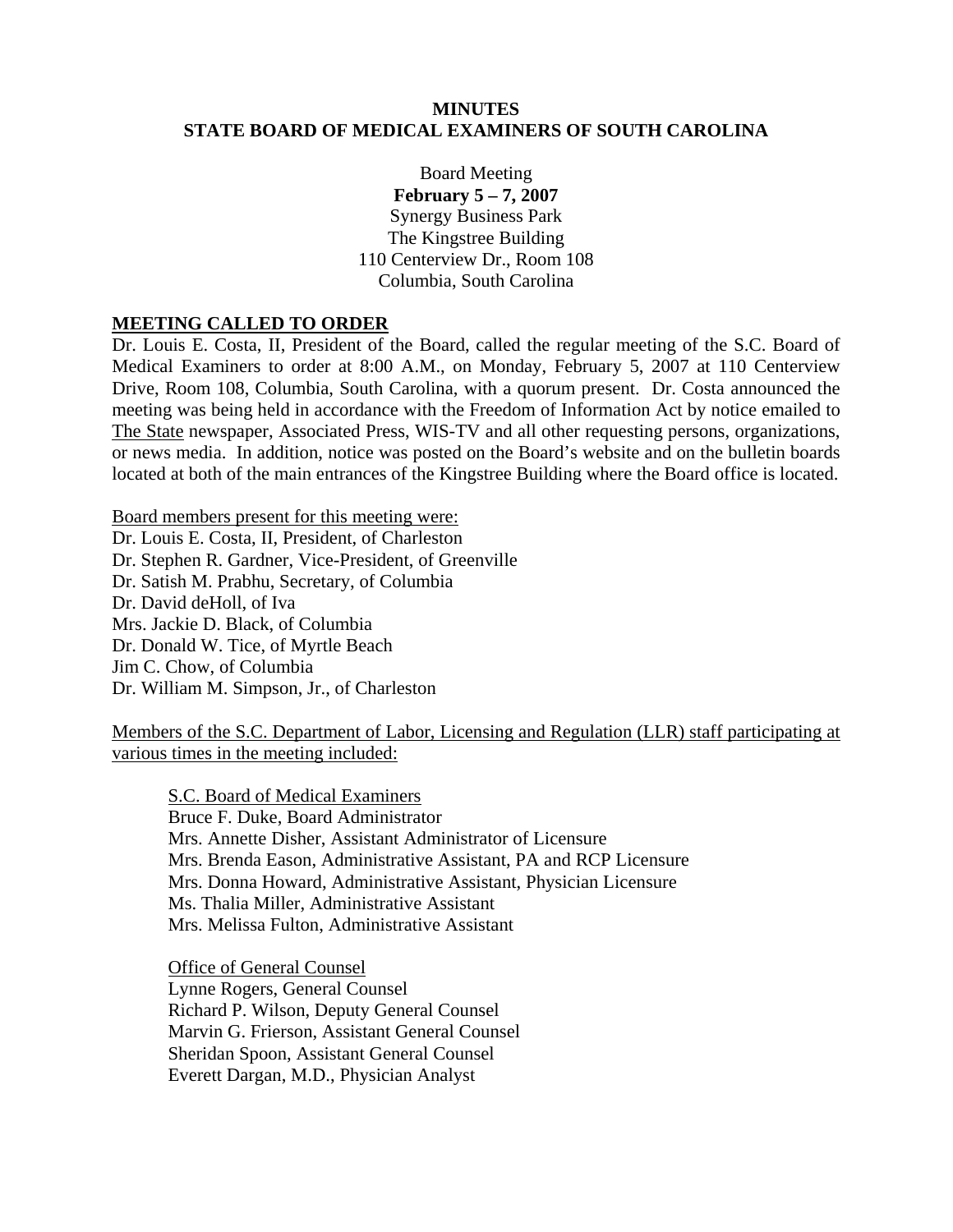#### **MINUTES STATE BOARD OF MEDICAL EXAMINERS OF SOUTH CAROLINA**

Board Meeting **February 5 – 7, 2007**  Synergy Business Park The Kingstree Building 110 Centerview Dr., Room 108 Columbia, South Carolina

#### **MEETING CALLED TO ORDER**

Dr. Louis E. Costa, II, President of the Board, called the regular meeting of the S.C. Board of Medical Examiners to order at 8:00 A.M., on Monday, February 5, 2007 at 110 Centerview Drive, Room 108, Columbia, South Carolina, with a quorum present. Dr. Costa announced the meeting was being held in accordance with the Freedom of Information Act by notice emailed to The State newspaper, Associated Press, WIS-TV and all other requesting persons, organizations, or news media. In addition, notice was posted on the Board's website and on the bulletin boards located at both of the main entrances of the Kingstree Building where the Board office is located.

Board members present for this meeting were: Dr. Louis E. Costa, II, President, of Charleston Dr. Stephen R. Gardner, Vice-President, of Greenville Dr. Satish M. Prabhu, Secretary, of Columbia Dr. David deHoll, of Iva Mrs. Jackie D. Black, of Columbia Dr. Donald W. Tice, of Myrtle Beach Jim C. Chow, of Columbia Dr. William M. Simpson, Jr., of Charleston

Members of the S.C. Department of Labor, Licensing and Regulation (LLR) staff participating at various times in the meeting included:

S.C. Board of Medical Examiners Bruce F. Duke, Board Administrator Mrs. Annette Disher, Assistant Administrator of Licensure Mrs. Brenda Eason, Administrative Assistant, PA and RCP Licensure Mrs. Donna Howard, Administrative Assistant, Physician Licensure Ms. Thalia Miller, Administrative Assistant Mrs. Melissa Fulton, Administrative Assistant

 Office of General Counsel Lynne Rogers, General Counsel Richard P. Wilson, Deputy General Counsel Marvin G. Frierson, Assistant General Counsel Sheridan Spoon, Assistant General Counsel Everett Dargan, M.D., Physician Analyst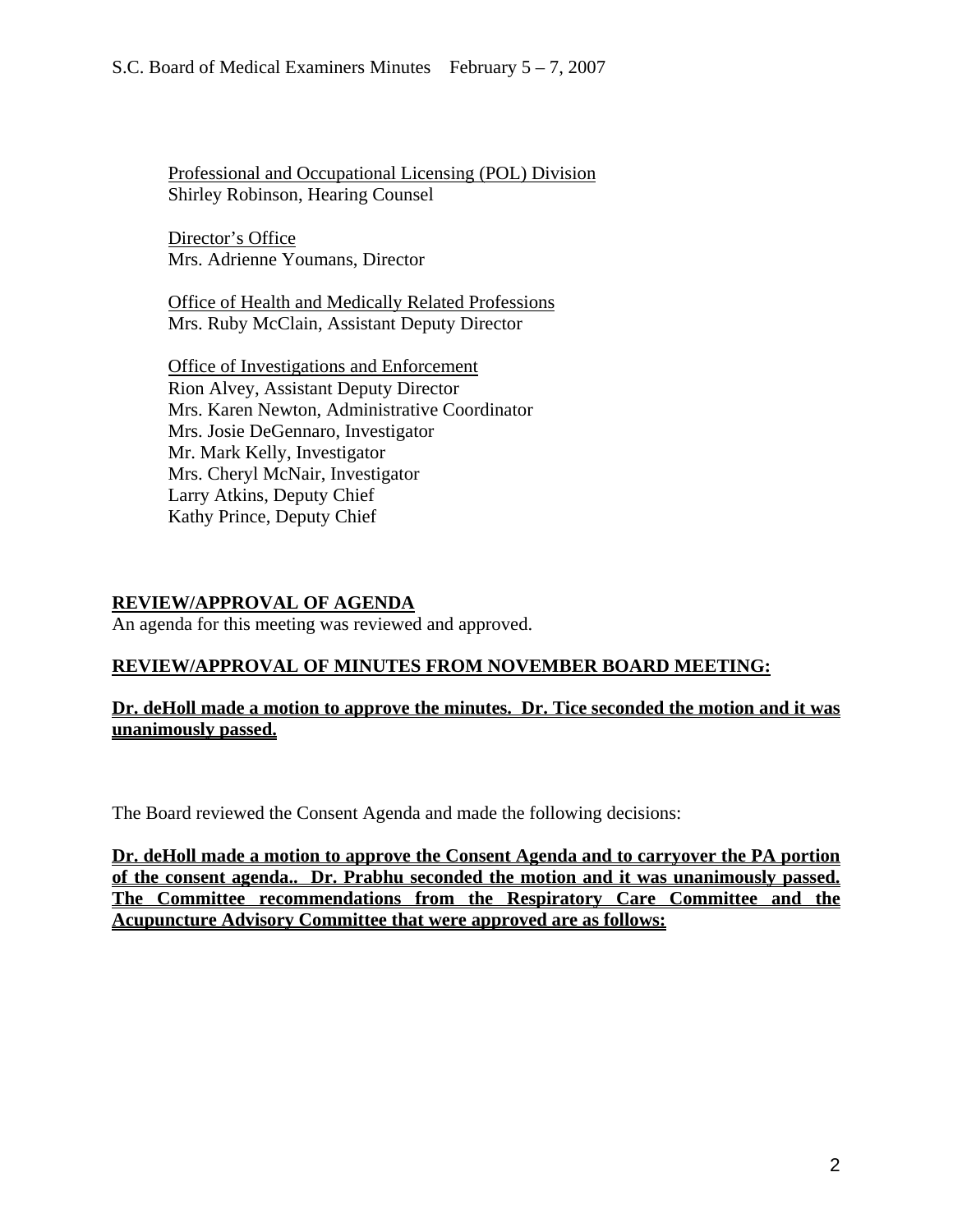Professional and Occupational Licensing (POL) Division Shirley Robinson, Hearing Counsel

Director's Office Mrs. Adrienne Youmans, Director

Office of Health and Medically Related Professions Mrs. Ruby McClain, Assistant Deputy Director

Office of Investigations and Enforcement Rion Alvey, Assistant Deputy Director Mrs. Karen Newton, Administrative Coordinator Mrs. Josie DeGennaro, Investigator Mr. Mark Kelly, Investigator Mrs. Cheryl McNair, Investigator Larry Atkins, Deputy Chief Kathy Prince, Deputy Chief

# **REVIEW/APPROVAL OF AGENDA**

An agenda for this meeting was reviewed and approved.

# **REVIEW/APPROVAL OF MINUTES FROM NOVEMBER BOARD MEETING:**

# **Dr. deHoll made a motion to approve the minutes. Dr. Tice seconded the motion and it was unanimously passed.**

The Board reviewed the Consent Agenda and made the following decisions:

**Dr. deHoll made a motion to approve the Consent Agenda and to carryover the PA portion of the consent agenda.. Dr. Prabhu seconded the motion and it was unanimously passed. The Committee recommendations from the Respiratory Care Committee and the Acupuncture Advisory Committee that were approved are as follows:**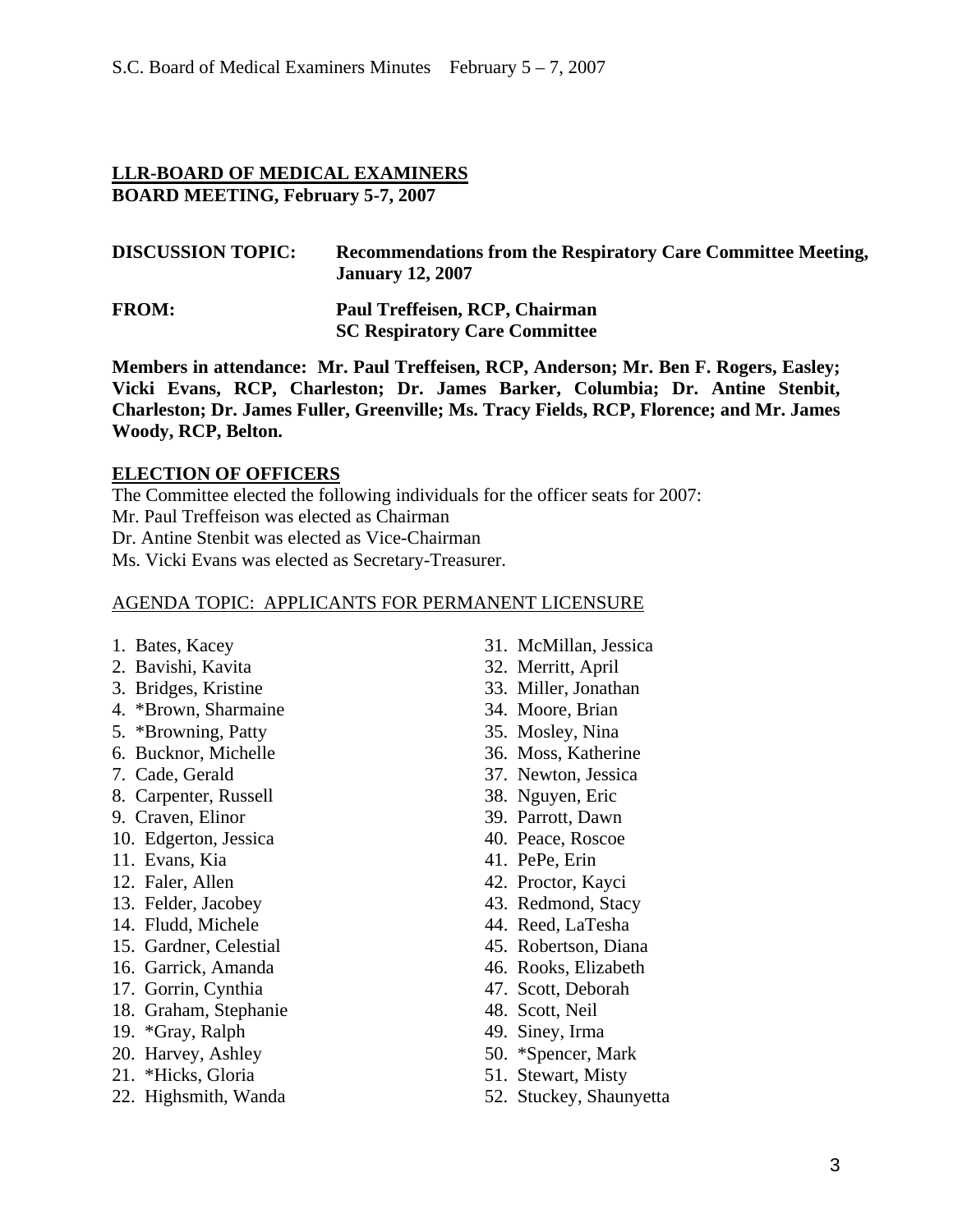#### **LLR-BOARD OF MEDICAL EXAMINERS BOARD MEETING, February 5-7, 2007**

| <b>DISCUSSION TOPIC:</b> | Recommendations from the Respiratory Care Committee Meeting,<br><b>January 12, 2007</b> |
|--------------------------|-----------------------------------------------------------------------------------------|
| <b>FROM:</b>             | Paul Treffeisen, RCP, Chairman<br><b>SC Respiratory Care Committee</b>                  |

**Members in attendance: Mr. Paul Treffeisen, RCP, Anderson; Mr. Ben F. Rogers, Easley; Vicki Evans, RCP, Charleston; Dr. James Barker, Columbia; Dr. Antine Stenbit, Charleston; Dr. James Fuller, Greenville; Ms. Tracy Fields, RCP, Florence; and Mr. James Woody, RCP, Belton.** 

#### **ELECTION OF OFFICERS**

The Committee elected the following individuals for the officer seats for 2007: Mr. Paul Treffeison was elected as Chairman Dr. Antine Stenbit was elected as Vice-Chairman Ms. Vicki Evans was elected as Secretary-Treasurer.

#### AGENDA TOPIC: APPLICANTS FOR PERMANENT LICENSURE

- 
- 2. Bavishi, Kavita 32. Merritt, April
- 3. Bridges, Kristine 33. Miller, Jonathan
- 4. \*Brown, Sharmaine 34. Moore, Brian
- 5. \*Browning, Patty 35. Mosley, Nina
- 6. Bucknor, Michelle 36. Moss, Katherine
- 
- 8. Carpenter, Russell 38. Nguyen, Eric
- 9. Craven, Elinor 39. Parrott, Dawn
- 10. Edgerton, Jessica 40. Peace, Roscoe
- 11. Evans, Kia 41. PePe, Erin
- 
- 
- 
- 15. Gardner, Celestial 45. Robertson, Diana
- 16. Garrick, Amanda 46. Rooks, Elizabeth
- 17. Gorrin, Cynthia 47. Scott, Deborah
- 18. Graham, Stephanie 48. Scott, Neil
- 19. \*Gray, Ralph 49. Siney, Irma
- 20. Harvey, Ashley 50. \*Spencer, Mark
- 21. \*Hicks, Gloria 51. Stewart, Misty
- 
- 1. Bates, Kacey 31. McMillan, Jessica
	-
	-
	-
	-
	-
- 7. Cade, Gerald 37. Newton, Jessica
	-
	-
	-
	-
- 12. Faler, Allen 42. Proctor, Kayci
- 13. Felder, Jacobey 43. Redmond, Stacy
- 14. Fludd, Michele 44. Reed, LaTesha
	-
	-
	-
	-
	-
	-
	-
- 22. Highsmith, Wanda 52. Stuckey, Shaunyetta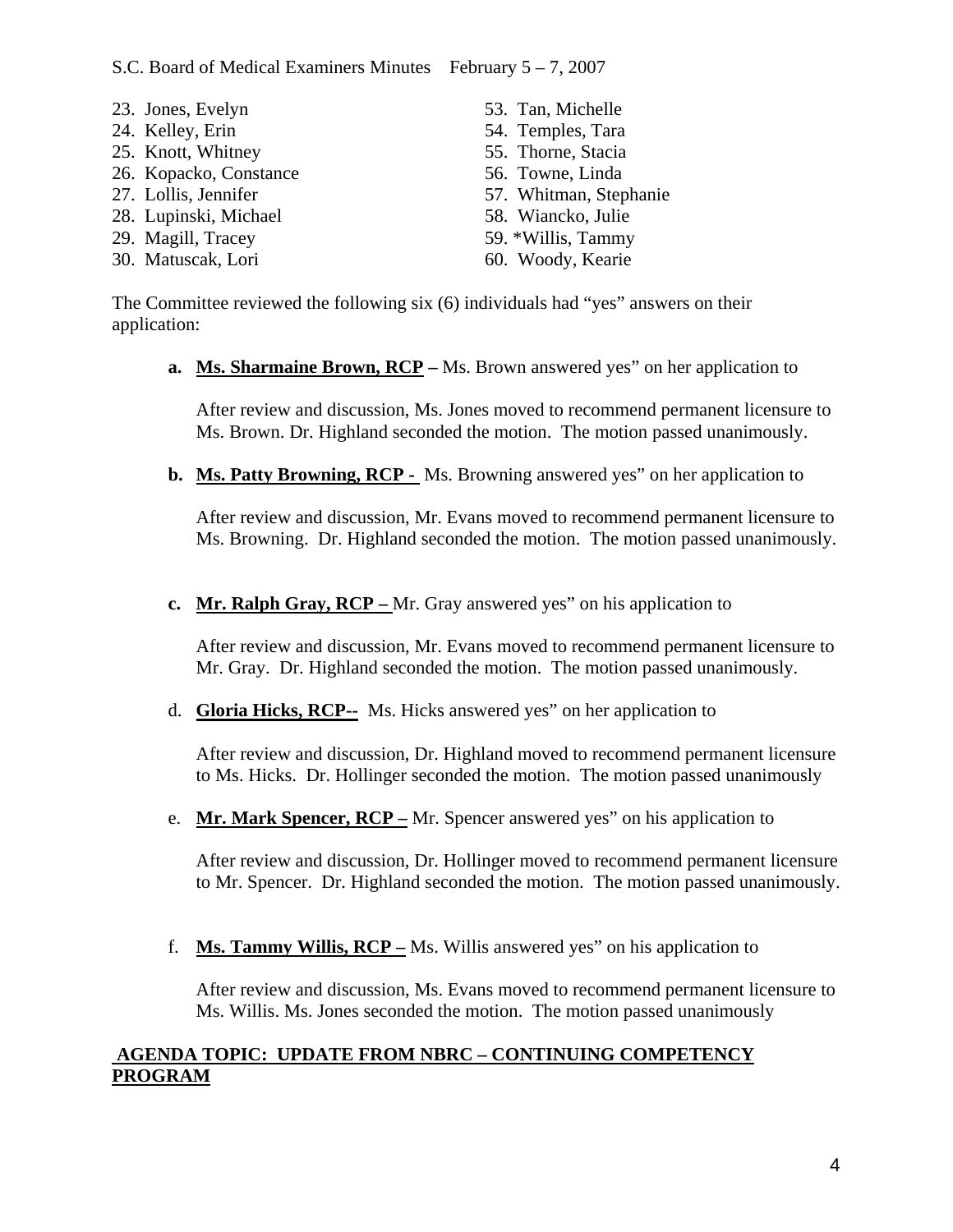- 23. Jones, Evelyn 53. Tan, Michelle
- 24. Kelley, Erin 54. Temples, Tara
- 25. Knott, Whitney 55. Thorne, Stacia
- 26. Kopacko, Constance 56. Towne, Linda
- 
- 28. Lupinski, Michael 58. Wiancko, Julie
- 
- 30. Matuscak, Lori 60. Woody, Kearie
- 
- 
- 
- 27. Lollis, Jennifer 57. Whitman, Stephanie
	-
- 29. Magill, Tracey 59. \*Willis, Tammy
	-

The Committee reviewed the following six (6) individuals had "yes" answers on their application:

**a. Ms. Sharmaine Brown, RCP –** Ms. Brown answered yes" on her application to

After review and discussion, Ms. Jones moved to recommend permanent licensure to Ms. Brown. Dr. Highland seconded the motion. The motion passed unanimously.

**b. Ms. Patty Browning, RCP -** Ms. Browning answered yes" on her application to

After review and discussion, Mr. Evans moved to recommend permanent licensure to Ms. Browning. Dr. Highland seconded the motion. The motion passed unanimously.

**c. Mr. Ralph Gray, RCP –** Mr. Gray answered yes" on his application to

After review and discussion, Mr. Evans moved to recommend permanent licensure to Mr. Gray. Dr. Highland seconded the motion. The motion passed unanimously.

d. **Gloria Hicks, RCP--** Ms. Hicks answered yes" on her application to

After review and discussion, Dr. Highland moved to recommend permanent licensure to Ms. Hicks. Dr. Hollinger seconded the motion. The motion passed unanimously

e. **Mr. Mark Spencer, RCP –** Mr. Spencer answered yes" on his application to

After review and discussion, Dr. Hollinger moved to recommend permanent licensure to Mr. Spencer. Dr. Highland seconded the motion. The motion passed unanimously.

f. **Ms. Tammy Willis, RCP –** Ms. Willis answered yes" on his application to

After review and discussion, Ms. Evans moved to recommend permanent licensure to Ms. Willis. Ms. Jones seconded the motion. The motion passed unanimously

# **AGENDA TOPIC: UPDATE FROM NBRC – CONTINUING COMPETENCY PROGRAM**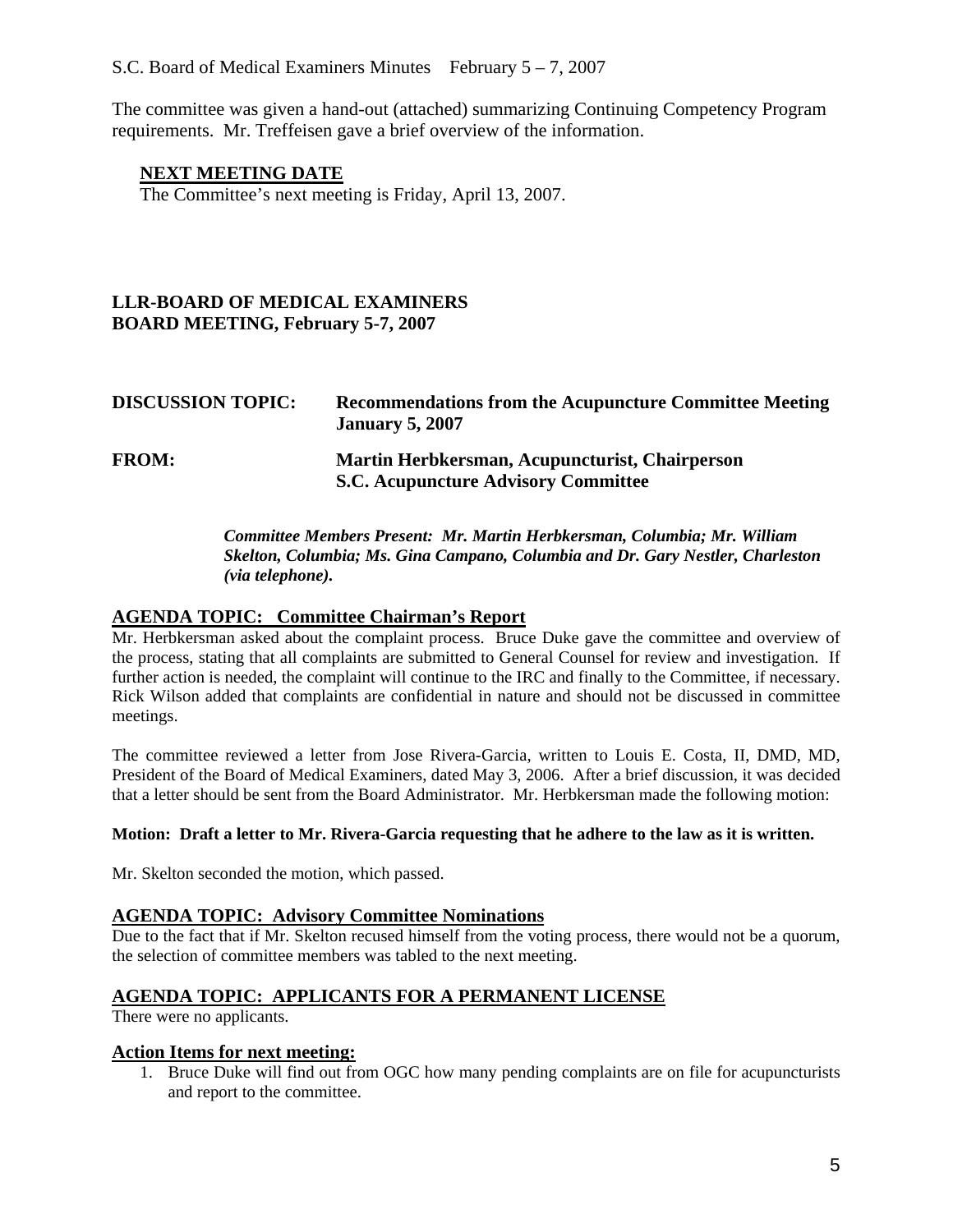The committee was given a hand-out (attached) summarizing Continuing Competency Program requirements. Mr. Treffeisen gave a brief overview of the information.

#### **NEXT MEETING DATE**

The Committee's next meeting is Friday, April 13, 2007.

## **LLR-BOARD OF MEDICAL EXAMINERS BOARD MEETING, February 5-7, 2007**

| <b>DISCUSSION TOPIC:</b> | <b>Recommendations from the Acupuncture Committee Meeting</b><br><b>January 5, 2007</b>      |
|--------------------------|----------------------------------------------------------------------------------------------|
| <b>FROM:</b>             | Martin Herbkersman, Acupuncturist, Chairperson<br><b>S.C. Acupuncture Advisory Committee</b> |

*Committee Members Present: Mr. Martin Herbkersman, Columbia; Mr. William Skelton, Columbia; Ms. Gina Campano, Columbia and Dr. Gary Nestler, Charleston (via telephone).* 

#### **AGENDA TOPIC: Committee Chairman's Report**

Mr. Herbkersman asked about the complaint process. Bruce Duke gave the committee and overview of the process, stating that all complaints are submitted to General Counsel for review and investigation. If further action is needed, the complaint will continue to the IRC and finally to the Committee, if necessary. Rick Wilson added that complaints are confidential in nature and should not be discussed in committee meetings.

The committee reviewed a letter from Jose Rivera-Garcia, written to Louis E. Costa, II, DMD, MD, President of the Board of Medical Examiners, dated May 3, 2006. After a brief discussion, it was decided that a letter should be sent from the Board Administrator. Mr. Herbkersman made the following motion:

#### **Motion: Draft a letter to Mr. Rivera-Garcia requesting that he adhere to the law as it is written.**

Mr. Skelton seconded the motion, which passed.

#### **AGENDA TOPIC: Advisory Committee Nominations**

Due to the fact that if Mr. Skelton recused himself from the voting process, there would not be a quorum, the selection of committee members was tabled to the next meeting.

#### **AGENDA TOPIC: APPLICANTS FOR A PERMANENT LICENSE**

There were no applicants.

#### **Action Items for next meeting:**

1. Bruce Duke will find out from OGC how many pending complaints are on file for acupuncturists and report to the committee.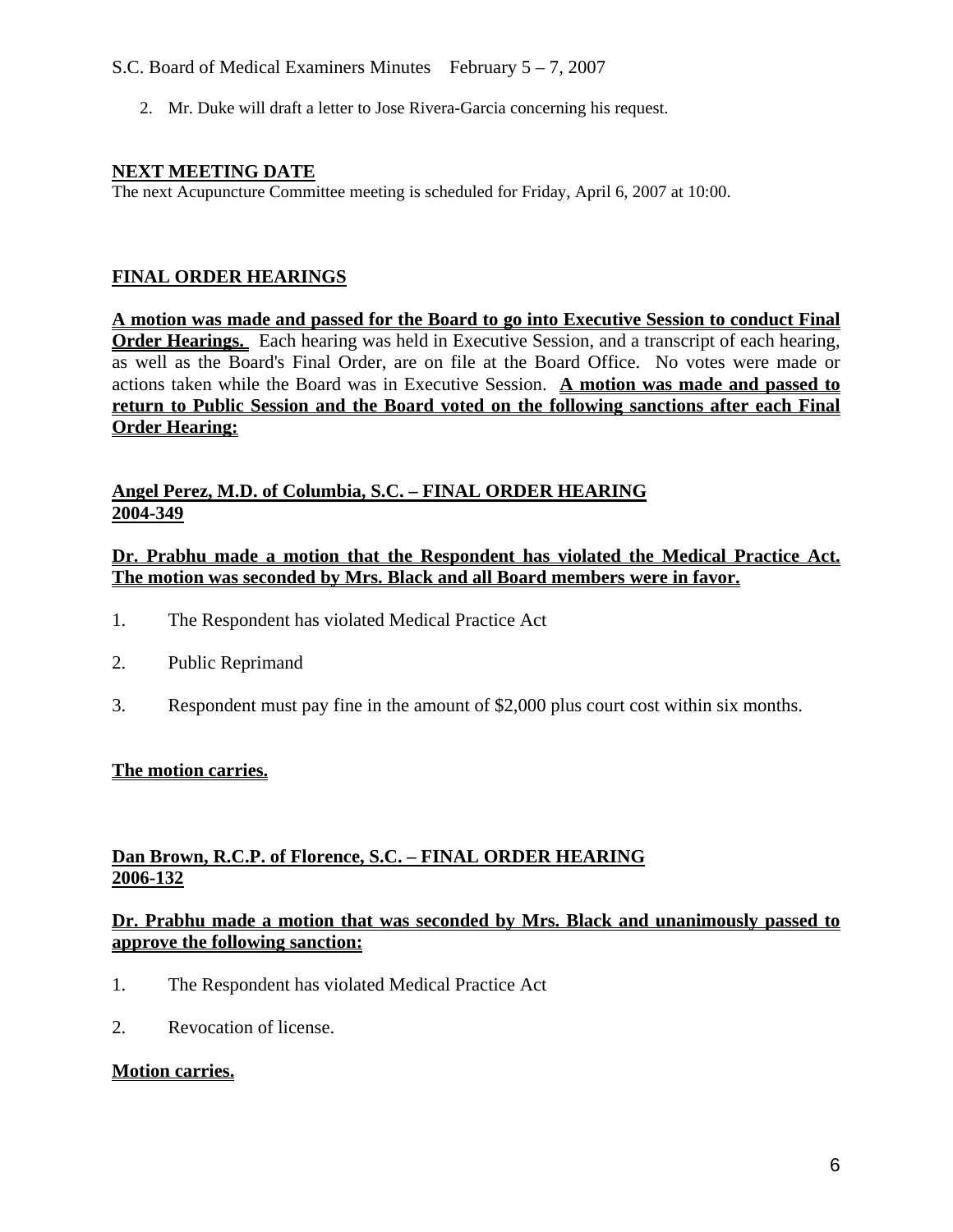# S.C. Board of Medical Examiners Minutes February 5 – 7, 2007

2. Mr. Duke will draft a letter to Jose Rivera-Garcia concerning his request.

#### **NEXT MEETING DATE**

The next Acupuncture Committee meeting is scheduled for Friday, April 6, 2007 at 10:00.

## **FINAL ORDER HEARINGS**

**A motion was made and passed for the Board to go into Executive Session to conduct Final Order Hearings.** Each hearing was held in Executive Session, and a transcript of each hearing, as well as the Board's Final Order, are on file at the Board Office. No votes were made or actions taken while the Board was in Executive Session. **A motion was made and passed to return to Public Session and the Board voted on the following sanctions after each Final Order Hearing:**

#### **Angel Perez, M.D. of Columbia, S.C. – FINAL ORDER HEARING 2004-349**

#### **Dr. Prabhu made a motion that the Respondent has violated the Medical Practice Act. The motion was seconded by Mrs. Black and all Board members were in favor.**

- 1. The Respondent has violated Medical Practice Act
- 2. Public Reprimand
- 3. Respondent must pay fine in the amount of \$2,000 plus court cost within six months.

# **The motion carries.**

# **Dan Brown, R.C.P. of Florence, S.C. – FINAL ORDER HEARING 2006-132**

#### **Dr. Prabhu made a motion that was seconded by Mrs. Black and unanimously passed to approve the following sanction:**

- 1. The Respondent has violated Medical Practice Act
- 2. Revocation of license.

#### **Motion carries.**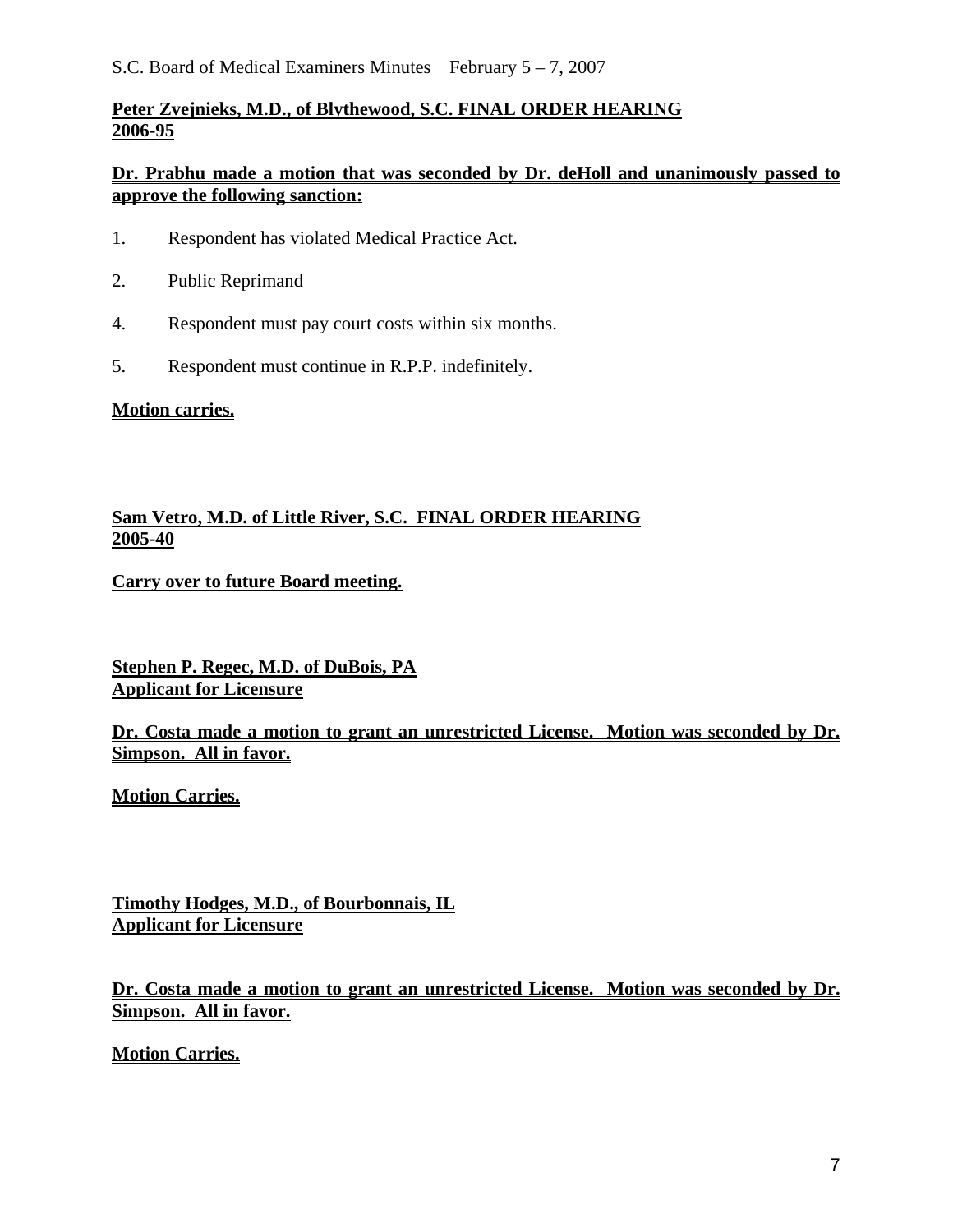# **Peter Zvejnieks, M.D., of Blythewood, S.C. FINAL ORDER HEARING 2006-95**

# **Dr. Prabhu made a motion that was seconded by Dr. deHoll and unanimously passed to approve the following sanction:**

- 1. Respondent has violated Medical Practice Act.
- 2. Public Reprimand
- 4. Respondent must pay court costs within six months.
- 5. Respondent must continue in R.P.P. indefinitely.

# **Motion carries.**

# **Sam Vetro, M.D. of Little River, S.C. FINAL ORDER HEARING 2005-40**

# **Carry over to future Board meeting.**

**Stephen P. Regec, M.D. of DuBois, PA Applicant for Licensure**

**Dr. Costa made a motion to grant an unrestricted License. Motion was seconded by Dr. Simpson. All in favor.** 

**Motion Carries.**

**Timothy Hodges, M.D., of Bourbonnais, IL Applicant for Licensure**

**Dr. Costa made a motion to grant an unrestricted License. Motion was seconded by Dr. Simpson. All in favor.** 

**Motion Carries.**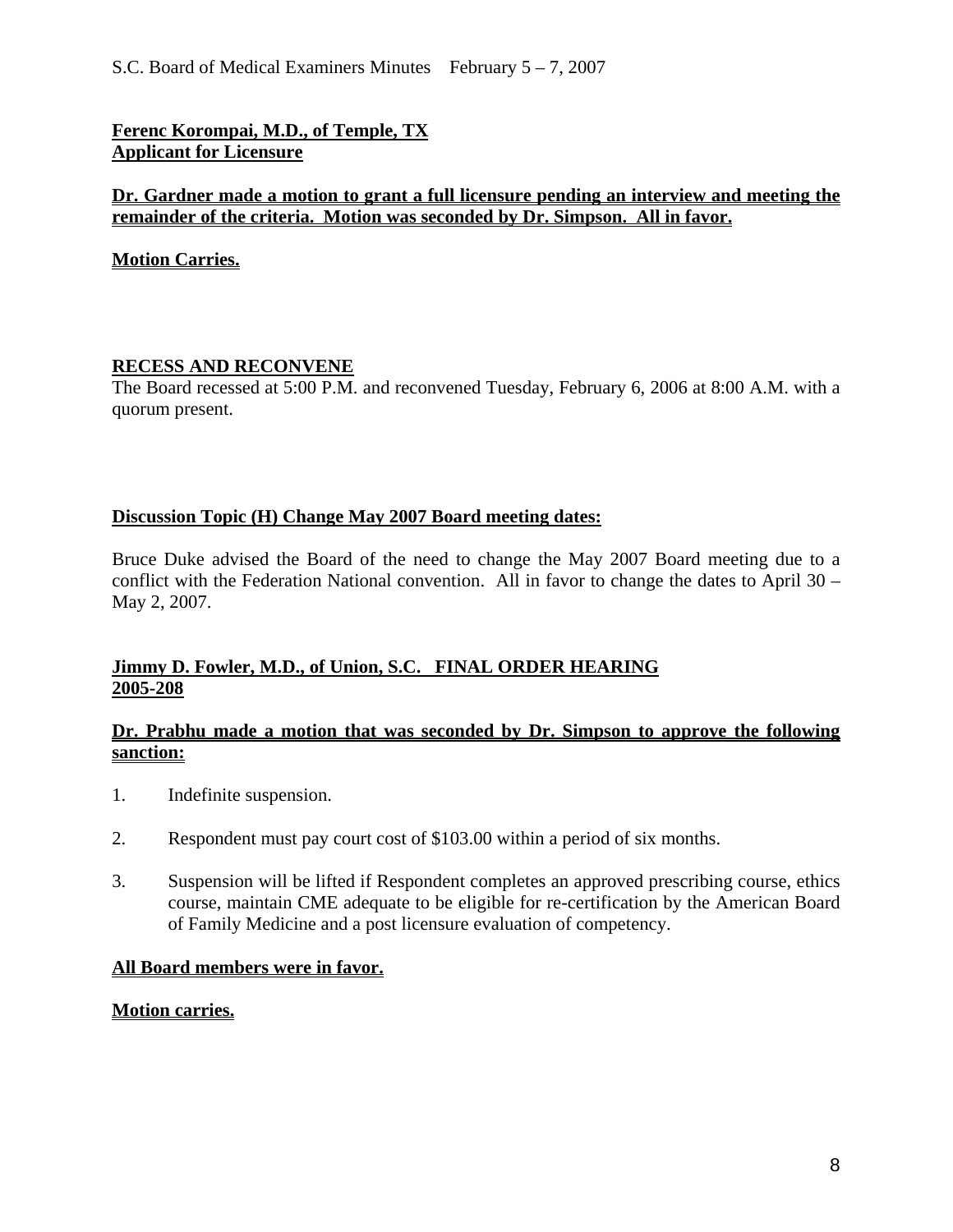**Ferenc Korompai, M.D., of Temple, TX Applicant for Licensure**

# **Dr. Gardner made a motion to grant a full licensure pending an interview and meeting the remainder of the criteria. Motion was seconded by Dr. Simpson. All in favor.**

**Motion Carries.**

#### **RECESS AND RECONVENE**

The Board recessed at 5:00 P.M. and reconvened Tuesday, February 6, 2006 at 8:00 A.M. with a quorum present.

# **Discussion Topic (H) Change May 2007 Board meeting dates:**

Bruce Duke advised the Board of the need to change the May 2007 Board meeting due to a conflict with the Federation National convention. All in favor to change the dates to April 30 – May 2, 2007.

# **Jimmy D. Fowler, M.D., of Union, S.C. FINAL ORDER HEARING 2005-208**

#### **Dr. Prabhu made a motion that was seconded by Dr. Simpson to approve the following sanction:**

- 1. Indefinite suspension.
- 2. Respondent must pay court cost of \$103.00 within a period of six months.
- 3. Suspension will be lifted if Respondent completes an approved prescribing course, ethics course, maintain CME adequate to be eligible for re-certification by the American Board of Family Medicine and a post licensure evaluation of competency.

# **All Board members were in favor.**

#### **Motion carries.**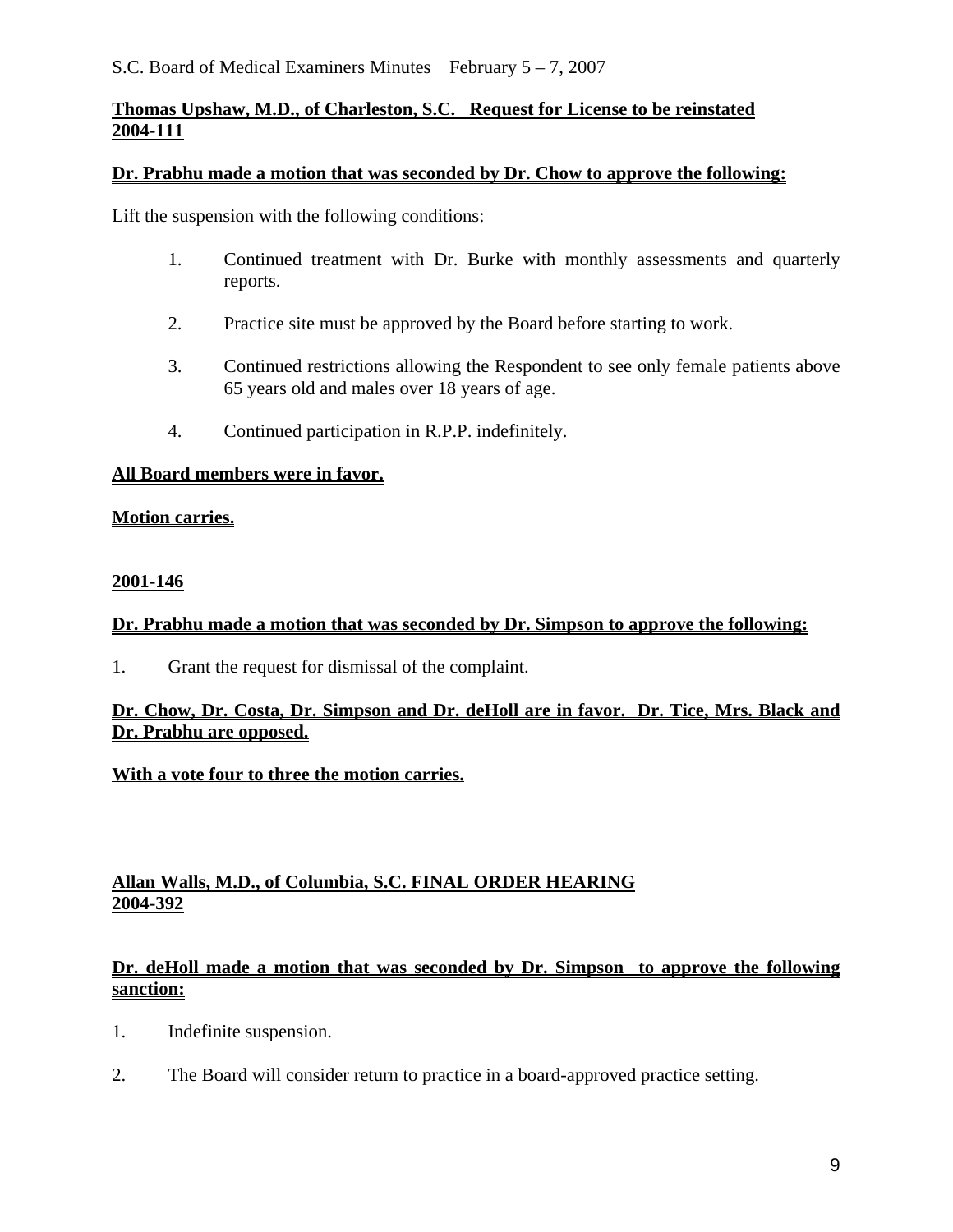# **Thomas Upshaw, M.D., of Charleston, S.C. Request for License to be reinstated 2004-111**

#### **Dr. Prabhu made a motion that was seconded by Dr. Chow to approve the following:**

Lift the suspension with the following conditions:

- 1. Continued treatment with Dr. Burke with monthly assessments and quarterly reports.
- 2. Practice site must be approved by the Board before starting to work.
- 3. Continued restrictions allowing the Respondent to see only female patients above 65 years old and males over 18 years of age.
- 4. Continued participation in R.P.P. indefinitely.

#### **All Board members were in favor.**

#### **Motion carries.**

#### **2001-146**

## **Dr. Prabhu made a motion that was seconded by Dr. Simpson to approve the following:**

1. Grant the request for dismissal of the complaint.

# **Dr. Chow, Dr. Costa, Dr. Simpson and Dr. deHoll are in favor. Dr. Tice, Mrs. Black and Dr. Prabhu are opposed.**

# **With a vote four to three the motion carries.**

# **Allan Walls, M.D., of Columbia, S.C. FINAL ORDER HEARING 2004-392**

# **Dr. deHoll made a motion that was seconded by Dr. Simpson to approve the following sanction:**

- 1. Indefinite suspension.
- 2. The Board will consider return to practice in a board-approved practice setting.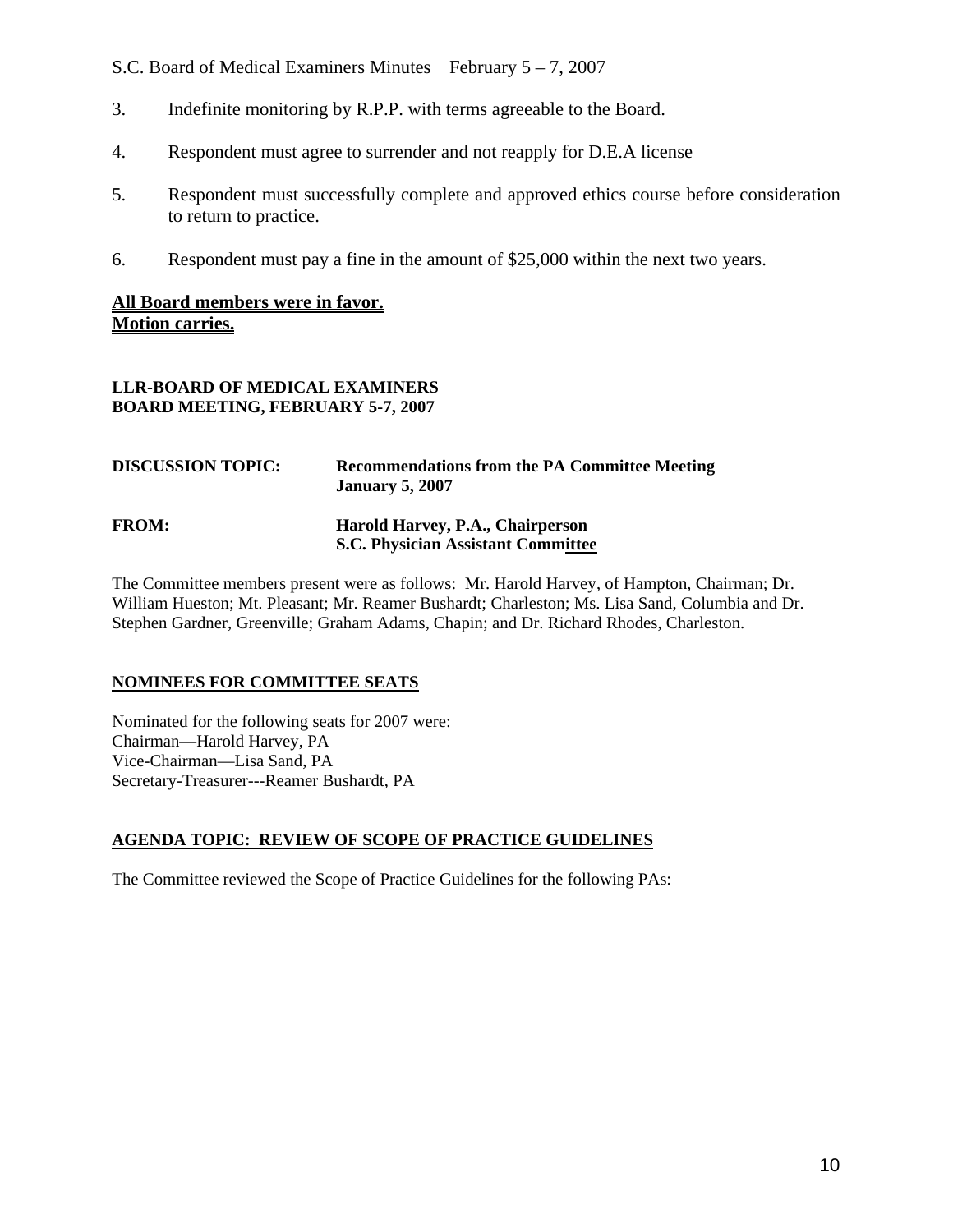- S.C. Board of Medical Examiners Minutes February 5 7, 2007
- 3. Indefinite monitoring by R.P.P. with terms agreeable to the Board.
- 4. Respondent must agree to surrender and not reapply for D.E.A license
- 5. Respondent must successfully complete and approved ethics course before consideration to return to practice.
- 6. Respondent must pay a fine in the amount of \$25,000 within the next two years.

#### **All Board members were in favor. Motion carries.**

#### **LLR-BOARD OF MEDICAL EXAMINERS BOARD MEETING, FEBRUARY 5-7, 2007**

| <b>DISCUSSION TOPIC:</b> | <b>Recommendations from the PA Committee Meeting</b><br><b>January 5, 2007</b> |
|--------------------------|--------------------------------------------------------------------------------|
| <b>FROM:</b>             | Harold Harvey, P.A., Chairperson<br><b>S.C. Physician Assistant Committee</b>  |

The Committee members present were as follows: Mr. Harold Harvey, of Hampton, Chairman; Dr. William Hueston; Mt. Pleasant; Mr. Reamer Bushardt; Charleston; Ms. Lisa Sand, Columbia and Dr. Stephen Gardner, Greenville; Graham Adams, Chapin; and Dr. Richard Rhodes, Charleston.

#### **NOMINEES FOR COMMITTEE SEATS**

Nominated for the following seats for 2007 were: Chairman—Harold Harvey, PA Vice-Chairman—Lisa Sand, PA Secretary-Treasurer---Reamer Bushardt, PA

#### **AGENDA TOPIC: REVIEW OF SCOPE OF PRACTICE GUIDELINES**

The Committee reviewed the Scope of Practice Guidelines for the following PAs: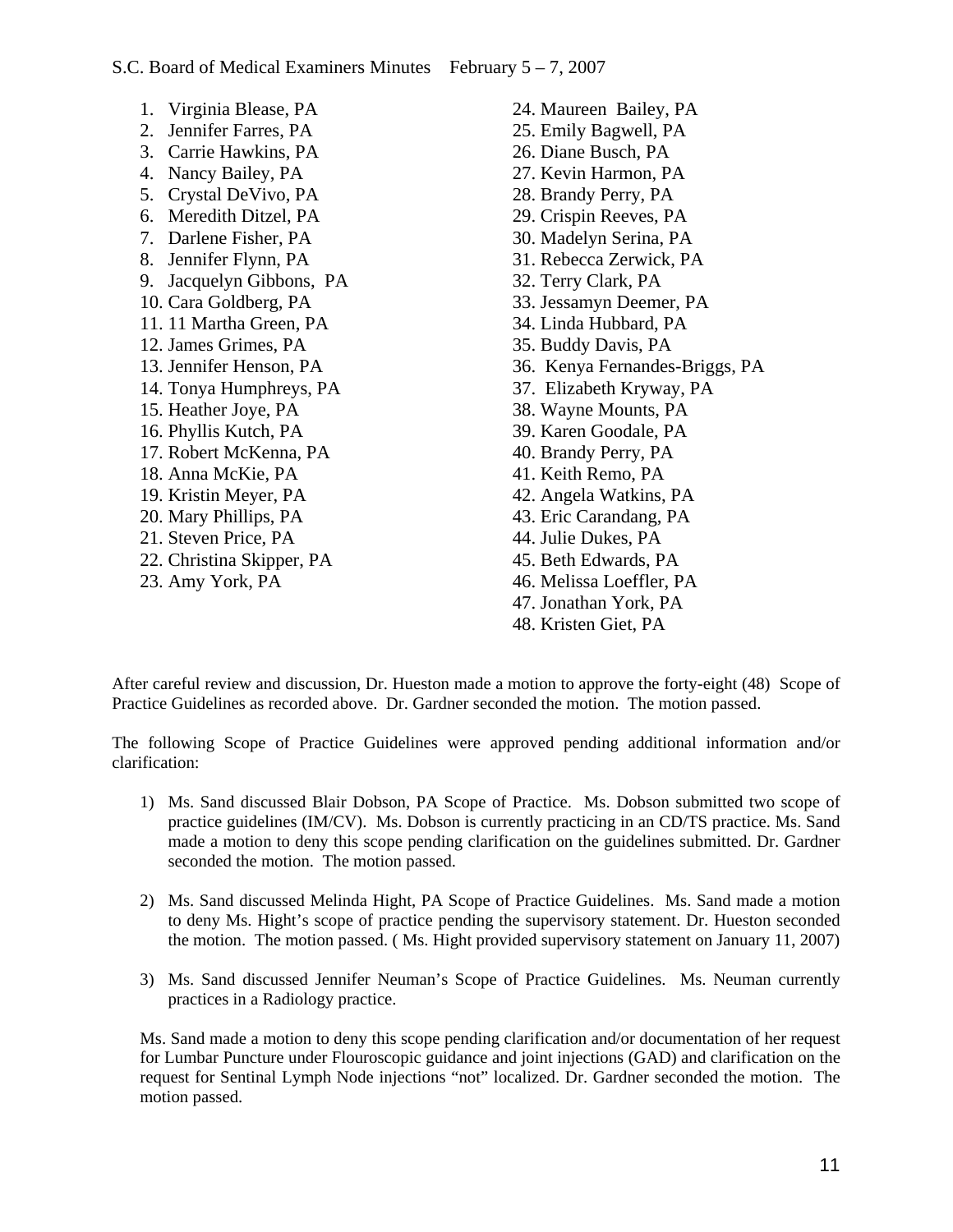1. Virginia Blease, PA 2. Jennifer Farres, PA 3. Carrie Hawkins, PA 4. Nancy Bailey, PA 5. Crystal DeVivo, PA 6. Meredith Ditzel, PA 7. Darlene Fisher, PA 8. Jennifer Flynn, PA 9. Jacquelyn Gibbons, PA 10. Cara Goldberg, PA 11. 11 Martha Green, PA 12. James Grimes, PA 13. Jennifer Henson, PA 14. Tonya Humphreys, PA 15. Heather Joye, PA 16. Phyllis Kutch, PA 17. Robert McKenna, PA 18. Anna McKie, PA 19. Kristin Meyer, PA 20. Mary Phillips, PA 21. Steven Price, PA 22. Christina Skipper, PA 23. Amy York, PA

24. Maureen Bailey, PA 25. Emily Bagwell, PA 26. Diane Busch, PA 27. Kevin Harmon, PA 28. Brandy Perry, PA 29. Crispin Reeves, PA 30. Madelyn Serina, PA 31. Rebecca Zerwick, PA 32. Terry Clark, PA 33. Jessamyn Deemer, PA 34. Linda Hubbard, PA 35. Buddy Davis, PA 36. Kenya Fernandes-Briggs, PA 37. Elizabeth Kryway, PA 38. Wayne Mounts, PA 39. Karen Goodale, PA 40. Brandy Perry, PA 41. Keith Remo, PA 42. Angela Watkins, PA 43. Eric Carandang, PA 44. Julie Dukes, PA 45. Beth Edwards, PA 46. Melissa Loeffler, PA 47. Jonathan York, PA 48. Kristen Giet, PA

After careful review and discussion, Dr. Hueston made a motion to approve the forty-eight (48) Scope of Practice Guidelines as recorded above. Dr. Gardner seconded the motion. The motion passed.

The following Scope of Practice Guidelines were approved pending additional information and/or clarification:

- 1) Ms. Sand discussed Blair Dobson, PA Scope of Practice. Ms. Dobson submitted two scope of practice guidelines (IM/CV). Ms. Dobson is currently practicing in an CD/TS practice. Ms. Sand made a motion to deny this scope pending clarification on the guidelines submitted. Dr. Gardner seconded the motion. The motion passed.
- 2) Ms. Sand discussed Melinda Hight, PA Scope of Practice Guidelines. Ms. Sand made a motion to deny Ms. Hight's scope of practice pending the supervisory statement. Dr. Hueston seconded the motion. The motion passed. ( Ms. Hight provided supervisory statement on January 11, 2007)
- 3) Ms. Sand discussed Jennifer Neuman's Scope of Practice Guidelines. Ms. Neuman currently practices in a Radiology practice.

Ms. Sand made a motion to deny this scope pending clarification and/or documentation of her request for Lumbar Puncture under Flouroscopic guidance and joint injections (GAD) and clarification on the request for Sentinal Lymph Node injections "not" localized. Dr. Gardner seconded the motion. The motion passed.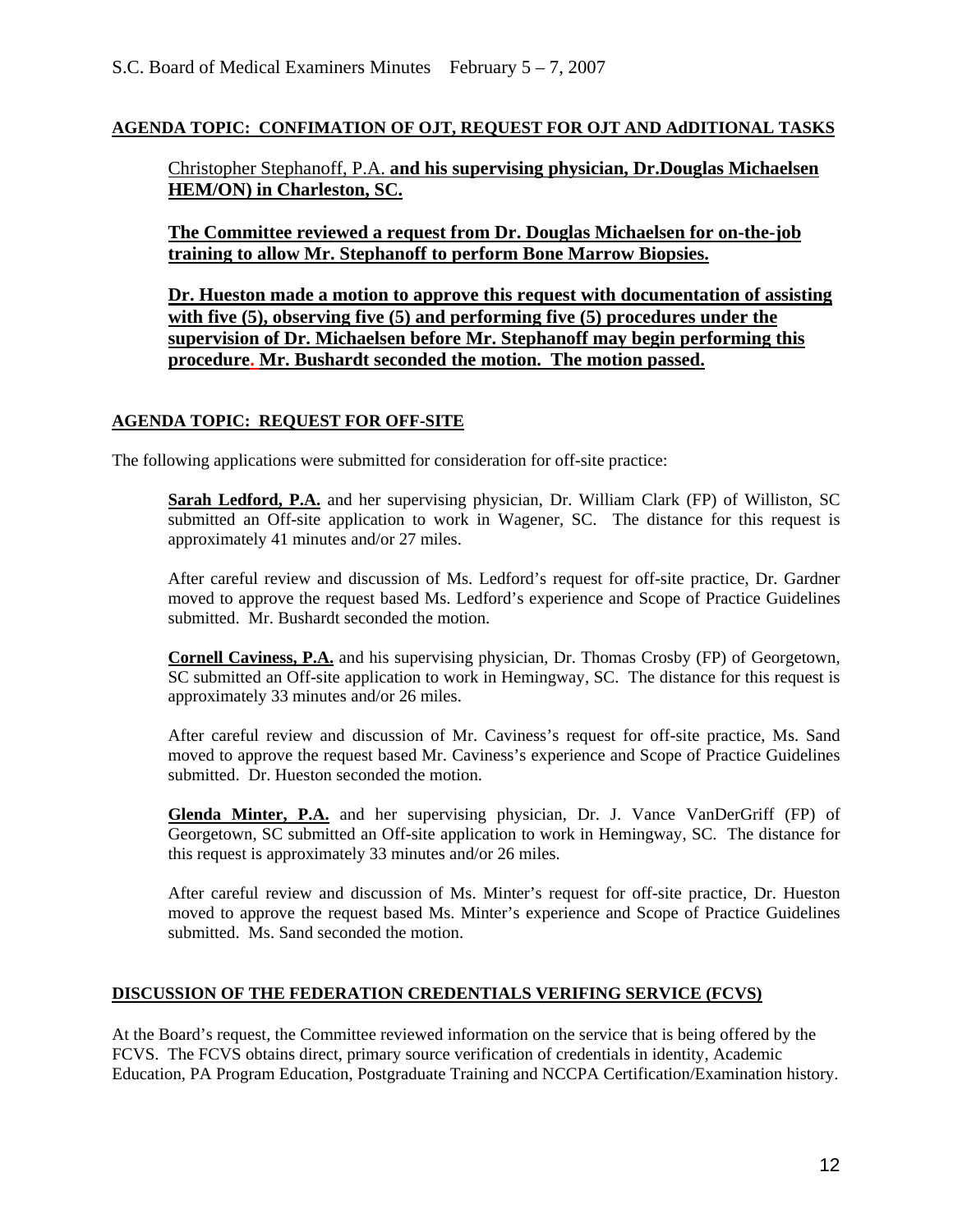#### **AGENDA TOPIC: CONFIMATION OF OJT, REQUEST FOR OJT AND AdDITIONAL TASKS**

Christopher Stephanoff, P.A. **and his supervising physician, Dr.Douglas Michaelsen HEM/ON) in Charleston, SC.**

**The Committee reviewed a request from Dr. Douglas Michaelsen for on-the-job training to allow Mr. Stephanoff to perform Bone Marrow Biopsies.** 

**Dr. Hueston made a motion to approve this request with documentation of assisting with five (5), observing five (5) and performing five (5) procedures under the supervision of Dr. Michaelsen before Mr. Stephanoff may begin performing this procedure. Mr. Bushardt seconded the motion. The motion passed.**

#### **AGENDA TOPIC: REQUEST FOR OFF-SITE**

The following applications were submitted for consideration for off-site practice:

**Sarah Ledford, P.A.** and her supervising physician, Dr. William Clark (FP) of Williston, SC submitted an Off-site application to work in Wagener, SC. The distance for this request is approximately 41 minutes and/or 27 miles.

After careful review and discussion of Ms. Ledford's request for off-site practice, Dr. Gardner moved to approve the request based Ms. Ledford's experience and Scope of Practice Guidelines submitted. Mr. Bushardt seconded the motion.

**Cornell Caviness, P.A.** and his supervising physician, Dr. Thomas Crosby (FP) of Georgetown, SC submitted an Off-site application to work in Hemingway, SC. The distance for this request is approximately 33 minutes and/or 26 miles.

After careful review and discussion of Mr. Caviness's request for off-site practice, Ms. Sand moved to approve the request based Mr. Caviness's experience and Scope of Practice Guidelines submitted. Dr. Hueston seconded the motion.

**Glenda Minter, P.A.** and her supervising physician, Dr. J. Vance VanDerGriff (FP) of Georgetown, SC submitted an Off-site application to work in Hemingway, SC. The distance for this request is approximately 33 minutes and/or 26 miles.

After careful review and discussion of Ms. Minter's request for off-site practice, Dr. Hueston moved to approve the request based Ms. Minter's experience and Scope of Practice Guidelines submitted. Ms. Sand seconded the motion.

#### **DISCUSSION OF THE FEDERATION CREDENTIALS VERIFING SERVICE (FCVS)**

At the Board's request, the Committee reviewed information on the service that is being offered by the FCVS. The FCVS obtains direct, primary source verification of credentials in identity, Academic Education, PA Program Education, Postgraduate Training and NCCPA Certification/Examination history.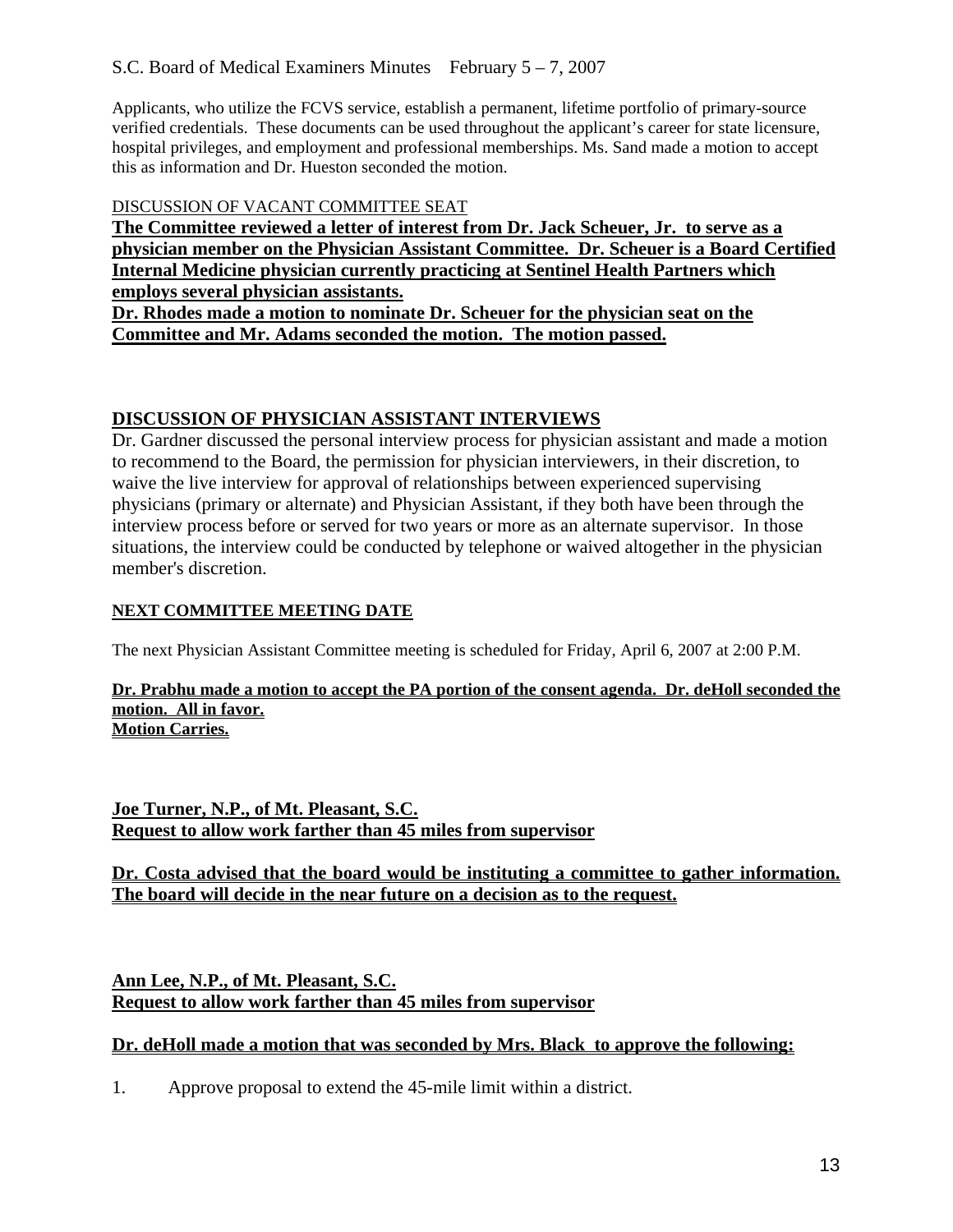Applicants, who utilize the FCVS service, establish a permanent, lifetime portfolio of primary-source verified credentials. These documents can be used throughout the applicant's career for state licensure, hospital privileges, and employment and professional memberships. Ms. Sand made a motion to accept this as information and Dr. Hueston seconded the motion.

## DISCUSSION OF VACANT COMMITTEE SEAT

**The Committee reviewed a letter of interest from Dr. Jack Scheuer, Jr. to serve as a physician member on the Physician Assistant Committee. Dr. Scheuer is a Board Certified Internal Medicine physician currently practicing at Sentinel Health Partners which employs several physician assistants.** 

**Dr. Rhodes made a motion to nominate Dr. Scheuer for the physician seat on the Committee and Mr. Adams seconded the motion. The motion passed.**

# **DISCUSSION OF PHYSICIAN ASSISTANT INTERVIEWS**

Dr. Gardner discussed the personal interview process for physician assistant and made a motion to recommend to the Board, the permission for physician interviewers, in their discretion, to waive the live interview for approval of relationships between experienced supervising physicians (primary or alternate) and Physician Assistant, if they both have been through the interview process before or served for two years or more as an alternate supervisor. In those situations, the interview could be conducted by telephone or waived altogether in the physician member's discretion.

## **NEXT COMMITTEE MEETING DATE**

The next Physician Assistant Committee meeting is scheduled for Friday, April 6, 2007 at 2:00 P.M.

#### **Dr. Prabhu made a motion to accept the PA portion of the consent agenda. Dr. deHoll seconded the motion. All in favor. Motion Carries.**

**Joe Turner, N.P., of Mt. Pleasant, S.C. Request to allow work farther than 45 miles from supervisor**

#### **Dr. Costa advised that the board would be instituting a committee to gather information. The board will decide in the near future on a decision as to the request.**

**Ann Lee, N.P., of Mt. Pleasant, S.C. Request to allow work farther than 45 miles from supervisor**

# **Dr. deHoll made a motion that was seconded by Mrs. Black to approve the following:**

1. Approve proposal to extend the 45-mile limit within a district.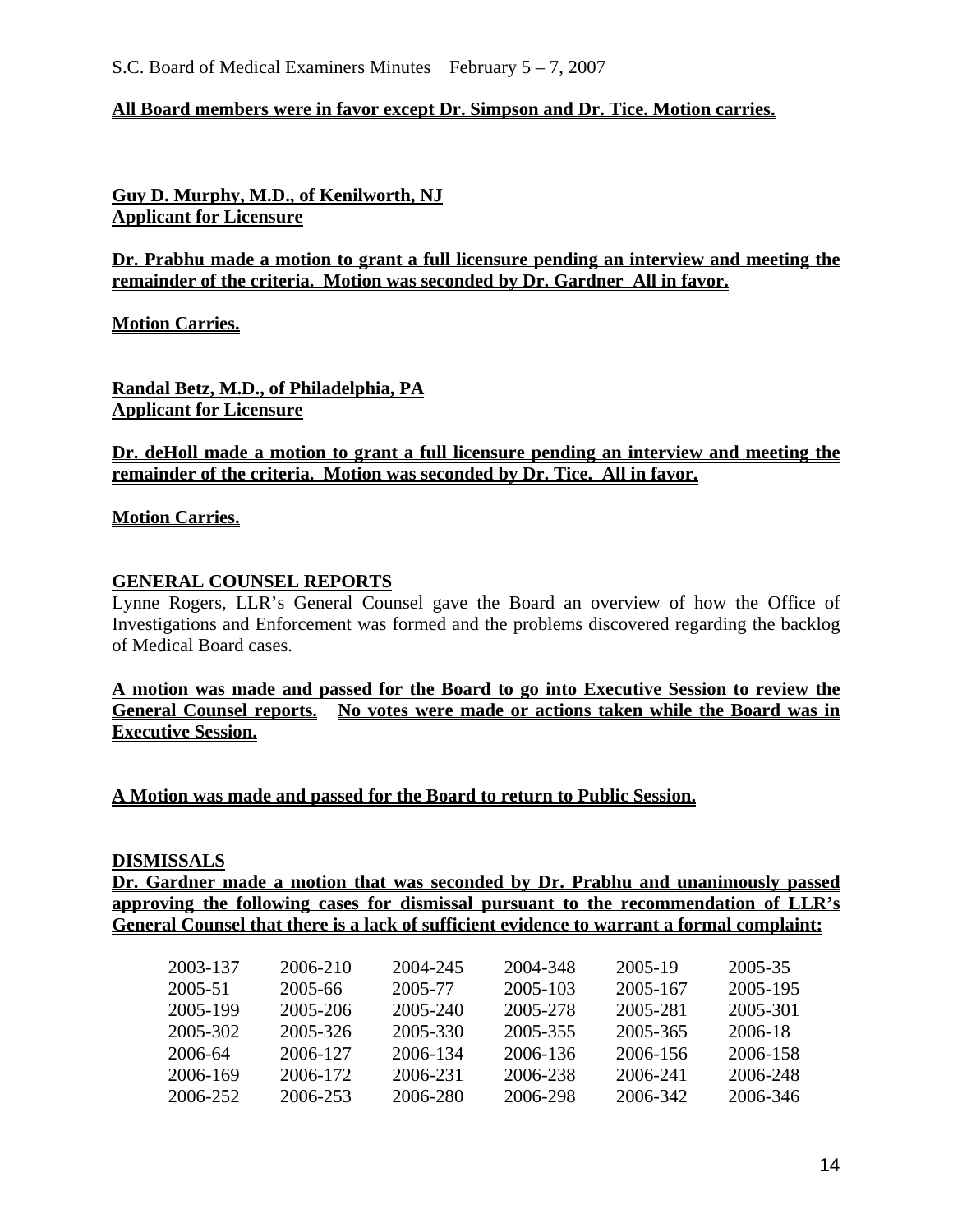#### **All Board members were in favor except Dr. Simpson and Dr. Tice. Motion carries.**

**Guy D. Murphy, M.D., of Kenilworth, NJ Applicant for Licensure**

**Dr. Prabhu made a motion to grant a full licensure pending an interview and meeting the remainder of the criteria. Motion was seconded by Dr. Gardner All in favor.** 

**Motion Carries.**

**Randal Betz, M.D., of Philadelphia, PA Applicant for Licensure**

**Dr. deHoll made a motion to grant a full licensure pending an interview and meeting the remainder of the criteria. Motion was seconded by Dr. Tice. All in favor.** 

#### **Motion Carries.**

#### **GENERAL COUNSEL REPORTS**

Lynne Rogers, LLR's General Counsel gave the Board an overview of how the Office of Investigations and Enforcement was formed and the problems discovered regarding the backlog of Medical Board cases.

**A motion was made and passed for the Board to go into Executive Session to review the General Counsel reports. No votes were made or actions taken while the Board was in Executive Session.** 

**A Motion was made and passed for the Board to return to Public Session.** 

#### **DISMISSALS**

**Dr. Gardner made a motion that was seconded by Dr. Prabhu and unanimously passed approving the following cases for dismissal pursuant to the recommendation of LLR's General Counsel that there is a lack of sufficient evidence to warrant a formal complaint:** 

| 2003-137 | 2006-210 | 2004-245 | 2004-348 | 2005-19  | 2005-35  |
|----------|----------|----------|----------|----------|----------|
| 2005-51  | 2005-66  | 2005-77  | 2005-103 | 2005-167 | 2005-195 |
| 2005-199 | 2005-206 | 2005-240 | 2005-278 | 2005-281 | 2005-301 |
| 2005-302 | 2005-326 | 2005-330 | 2005-355 | 2005-365 | 2006-18  |
| 2006-64  | 2006-127 | 2006-134 | 2006-136 | 2006-156 | 2006-158 |
| 2006-169 | 2006-172 | 2006-231 | 2006-238 | 2006-241 | 2006-248 |
| 2006-252 | 2006-253 | 2006-280 | 2006-298 | 2006-342 | 2006-346 |
|          |          |          |          |          |          |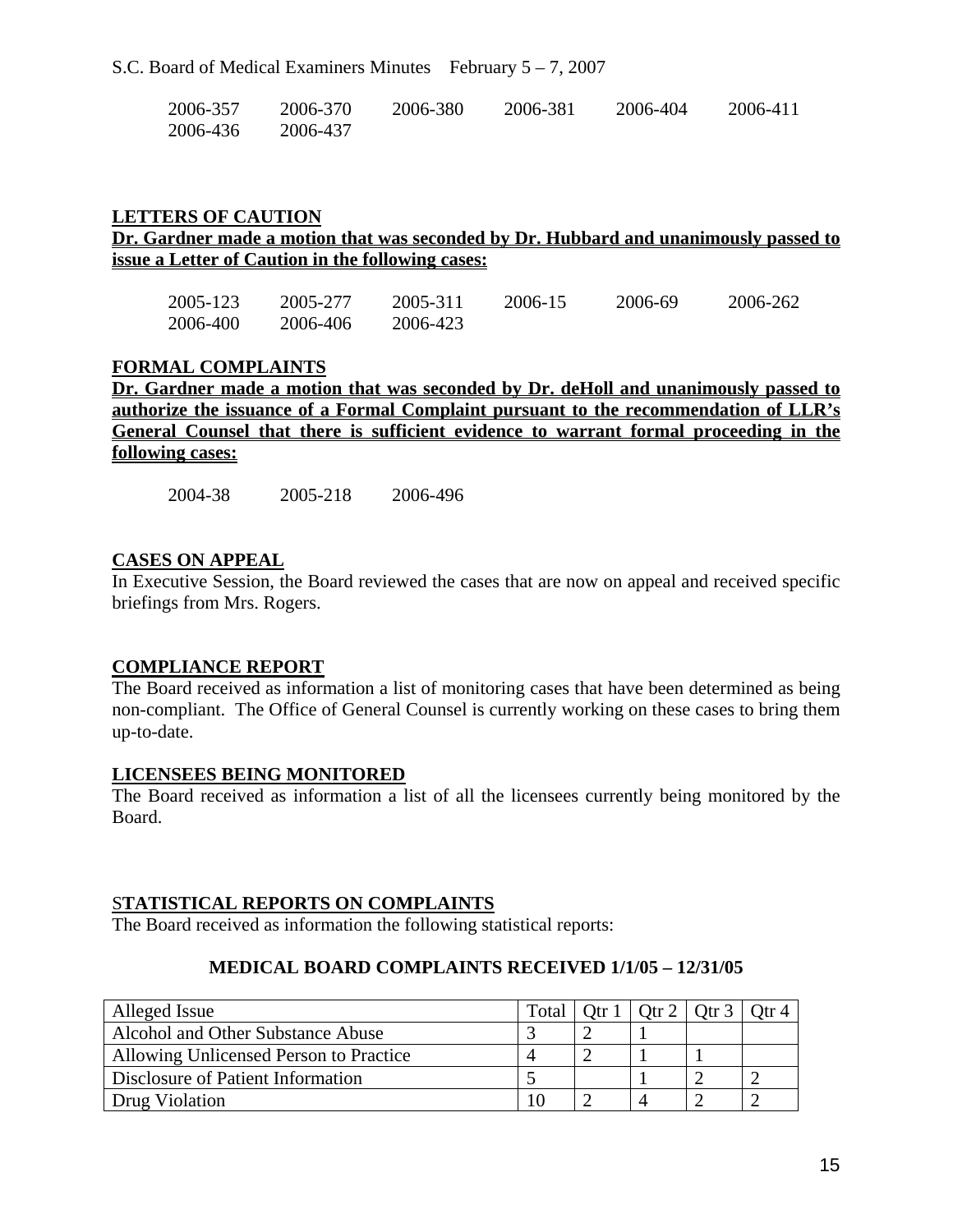| 2006-357 | 2006-370 | 2006-380 | 2006-381 | 2006-404 | 2006-411 |
|----------|----------|----------|----------|----------|----------|
| 2006-436 | 2006-437 |          |          |          |          |

#### **LETTERS OF CAUTION**

# **Dr. Gardner made a motion that was seconded by Dr. Hubbard and unanimously passed to issue a Letter of Caution in the following cases:**

| 2005-123 | 2005-277 | 2005-311 | 2006-15 | 2006-69 | 2006-262 |
|----------|----------|----------|---------|---------|----------|
| 2006-400 | 2006-406 | 2006-423 |         |         |          |

#### **FORMAL COMPLAINTS**

**Dr. Gardner made a motion that was seconded by Dr. deHoll and unanimously passed to authorize the issuance of a Formal Complaint pursuant to the recommendation of LLR's General Counsel that there is sufficient evidence to warrant formal proceeding in the following cases:**

2004-38 2005-218 2006-496

#### **CASES ON APPEAL**

In Executive Session, the Board reviewed the cases that are now on appeal and received specific briefings from Mrs. Rogers.

#### **COMPLIANCE REPORT**

The Board received as information a list of monitoring cases that have been determined as being non-compliant. The Office of General Counsel is currently working on these cases to bring them up-to-date.

#### **LICENSEES BEING MONITORED**

The Board received as information a list of all the licensees currently being monitored by the Board.

#### S**TATISTICAL REPORTS ON COMPLAINTS**

The Board received as information the following statistical reports:

# **MEDICAL BOARD COMPLAINTS RECEIVED 1/1/05 – 12/31/05**

| Alleged Issue                          | Total | Otr $1$ | Otr $2  $ Otr $3  $ |  |
|----------------------------------------|-------|---------|---------------------|--|
| Alcohol and Other Substance Abuse      |       |         |                     |  |
| Allowing Unlicensed Person to Practice |       |         |                     |  |
| Disclosure of Patient Information      |       |         |                     |  |
| Drug Violation                         | 10    |         |                     |  |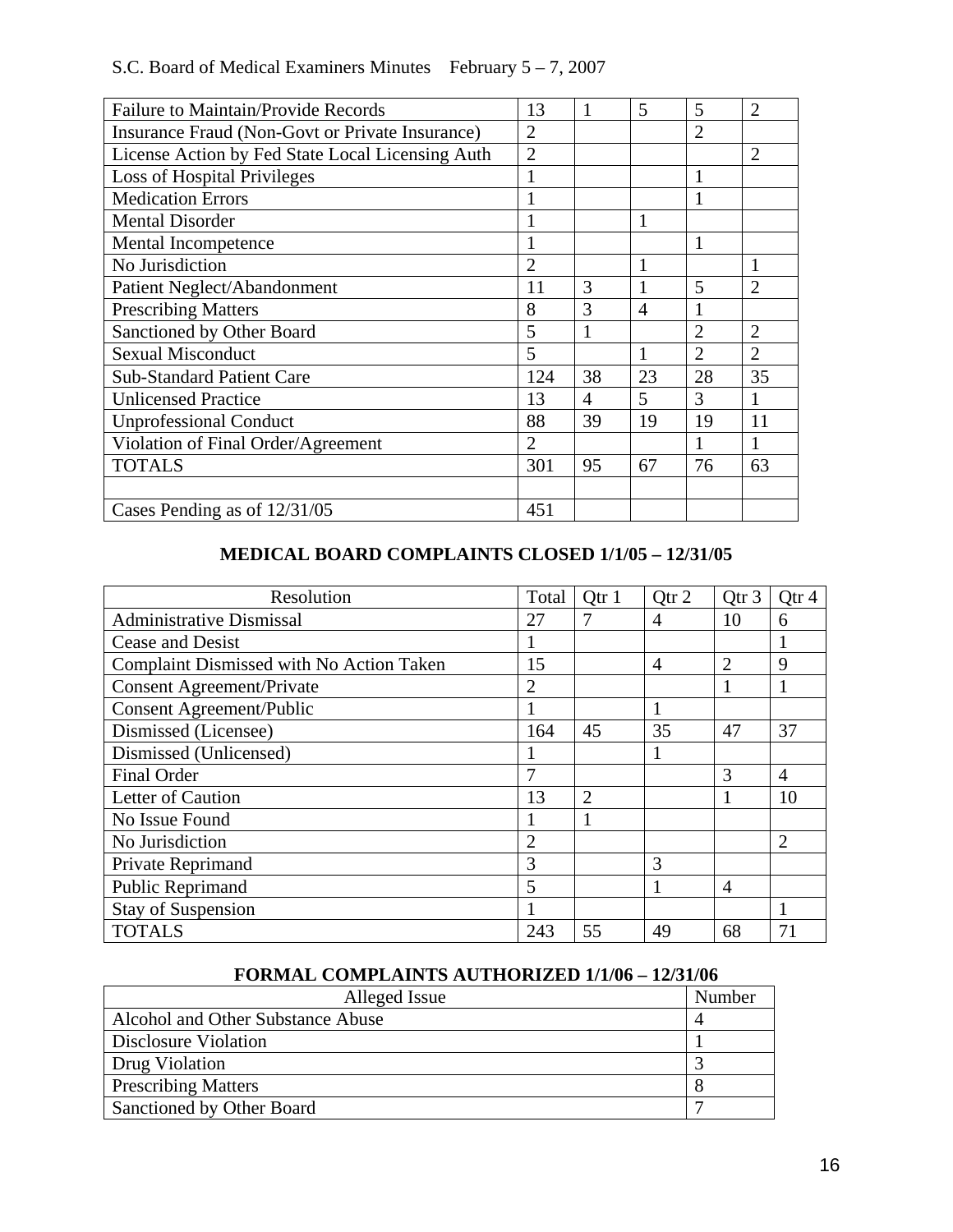| S.C. Board of Medical Examiners Minutes February $5 - 7$ , 2007 |  |
|-----------------------------------------------------------------|--|
|-----------------------------------------------------------------|--|

| <b>Failure to Maintain/Provide Records</b>       | 13             | 1  | 5              | 5              | $\overline{2}$ |
|--------------------------------------------------|----------------|----|----------------|----------------|----------------|
| Insurance Fraud (Non-Govt or Private Insurance)  | $\overline{2}$ |    |                | $\overline{2}$ |                |
| License Action by Fed State Local Licensing Auth | $\overline{2}$ |    |                |                | $\overline{2}$ |
| Loss of Hospital Privileges                      |                |    |                | $\mathbf{1}$   |                |
| <b>Medication Errors</b>                         |                |    |                |                |                |
| <b>Mental Disorder</b>                           |                |    | 1              |                |                |
| <b>Mental Incompetence</b>                       |                |    |                | 1              |                |
| No Jurisdiction                                  | 2              |    |                |                |                |
| Patient Neglect/Abandonment                      | 11             | 3  |                | 5              | $\overline{2}$ |
| <b>Prescribing Matters</b>                       | 8              | 3  | $\overline{A}$ |                |                |
| Sanctioned by Other Board                        | 5              |    |                | 2              | $\overline{2}$ |
| <b>Sexual Misconduct</b>                         | 5              |    |                | $\overline{2}$ | $\overline{2}$ |
| <b>Sub-Standard Patient Care</b>                 | 124            | 38 | 23             | 28             | 35             |
| <b>Unlicensed Practice</b>                       | 13             | 4  | 5              | 3              | 1              |
| <b>Unprofessional Conduct</b>                    | 88             | 39 | 19             | 19             | 11             |
| Violation of Final Order/Agreement               | $\overline{2}$ |    |                |                |                |
| <b>TOTALS</b>                                    | 301            | 95 | 67             | 76             | 63             |
|                                                  |                |    |                |                |                |
| Cases Pending as of $12/31/05$                   | 451            |    |                |                |                |

# **MEDICAL BOARD COMPLAINTS CLOSED 1/1/05 – 12/31/05**

| Resolution                               | Total          | Qtr 1          | Qtr 2          | Qtr 3          | Qtr 4          |
|------------------------------------------|----------------|----------------|----------------|----------------|----------------|
| <b>Administrative Dismissal</b>          | 27             |                | 4              | 10             | 6              |
| Cease and Desist                         | 1              |                |                |                |                |
| Complaint Dismissed with No Action Taken | 15             |                | $\overline{4}$ | 2              | 9              |
| <b>Consent Agreement/Private</b>         | $\overline{2}$ |                |                |                |                |
| <b>Consent Agreement/Public</b>          |                |                |                |                |                |
| Dismissed (Licensee)                     | 164            | 45             | 35             | 47             | 37             |
| Dismissed (Unlicensed)                   |                |                |                |                |                |
| <b>Final Order</b>                       | 7              |                |                | 3              | $\overline{4}$ |
| Letter of Caution                        | 13             | $\overline{2}$ |                |                | 10             |
| No Issue Found                           |                |                |                |                |                |
| No Jurisdiction                          | $\overline{2}$ |                |                |                | $\overline{2}$ |
| Private Reprimand                        | 3              |                | 3              |                |                |
| Public Reprimand                         | 5              |                |                | $\overline{4}$ |                |
| <b>Stay of Suspension</b>                |                |                |                |                |                |
| <b>TOTALS</b>                            | 243            | 55             | 49             | 68             | 71             |

# **FORMAL COMPLAINTS AUTHORIZED 1/1/06 – 12/31/06**

| Alleged Issue                     | Number |
|-----------------------------------|--------|
| Alcohol and Other Substance Abuse |        |
| Disclosure Violation              |        |
| Drug Violation                    |        |
| <b>Prescribing Matters</b>        |        |
| Sanctioned by Other Board         |        |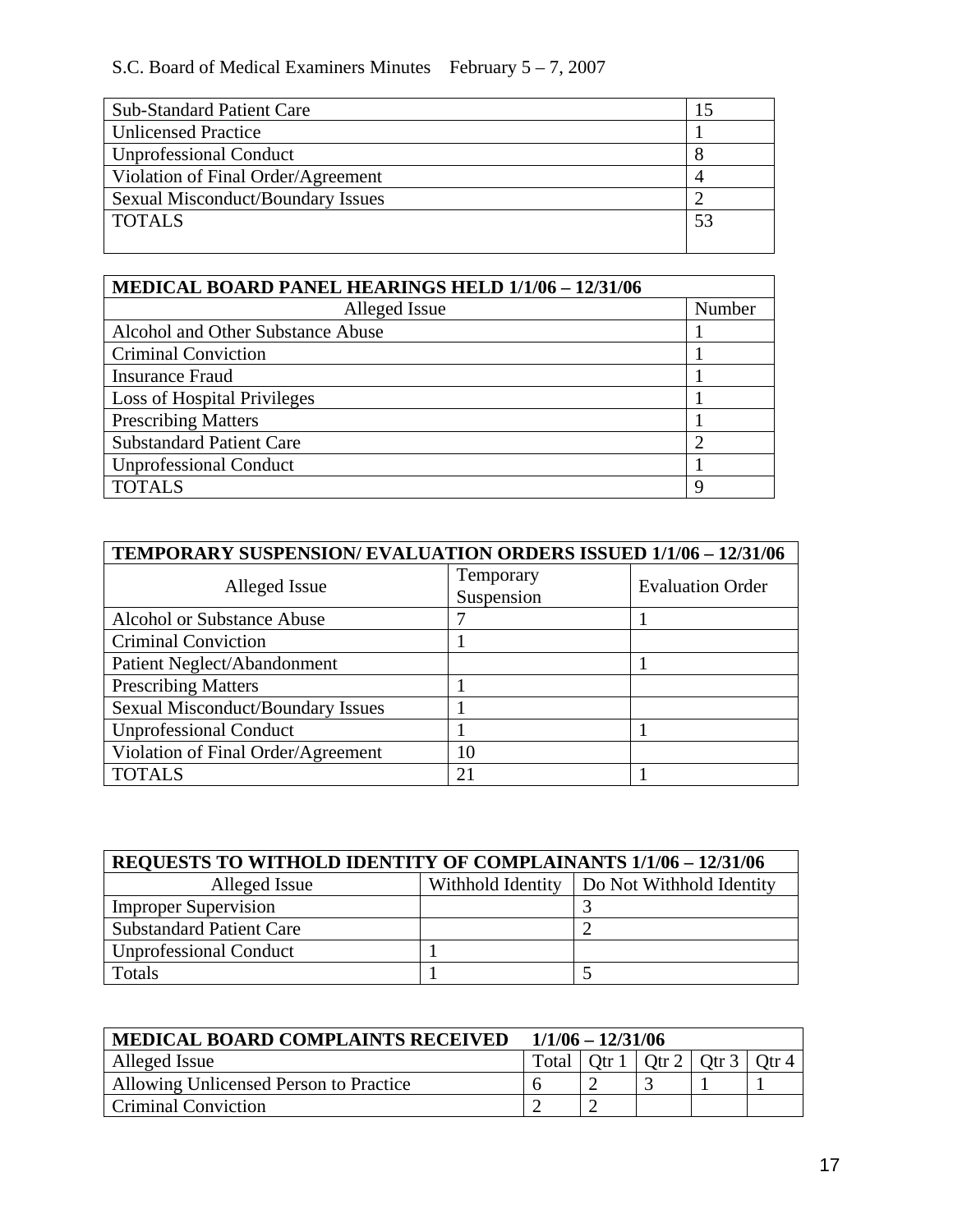# S.C. Board of Medical Examiners Minutes February 5 – 7, 2007

| <b>Sub-Standard Patient Care</b>   |  |  |
|------------------------------------|--|--|
| <b>Unlicensed Practice</b>         |  |  |
| <b>Unprofessional Conduct</b>      |  |  |
| Violation of Final Order/Agreement |  |  |
| Sexual Misconduct/Boundary Issues  |  |  |
| <b>TOTALS</b>                      |  |  |
|                                    |  |  |

| MEDICAL BOARD PANEL HEARINGS HELD 1/1/06 - 12/31/06 |                |  |  |  |
|-----------------------------------------------------|----------------|--|--|--|
| Alleged Issue                                       | Number         |  |  |  |
| Alcohol and Other Substance Abuse                   |                |  |  |  |
| <b>Criminal Conviction</b>                          |                |  |  |  |
| <b>Insurance Fraud</b>                              |                |  |  |  |
| <b>Loss of Hospital Privileges</b>                  |                |  |  |  |
| <b>Prescribing Matters</b>                          |                |  |  |  |
| <b>Substandard Patient Care</b>                     | $\overline{c}$ |  |  |  |
| <b>Unprofessional Conduct</b>                       |                |  |  |  |
| <b>TOTALS</b>                                       | 9              |  |  |  |

| TEMPORARY SUSPENSION/EVALUATION ORDERS ISSUED 1/1/06 - 12/31/06 |                |                         |  |  |  |
|-----------------------------------------------------------------|----------------|-------------------------|--|--|--|
| Alleged Issue                                                   | Temporary      | <b>Evaluation Order</b> |  |  |  |
|                                                                 | Suspension     |                         |  |  |  |
| <b>Alcohol or Substance Abuse</b>                               |                |                         |  |  |  |
| <b>Criminal Conviction</b>                                      |                |                         |  |  |  |
| Patient Neglect/Abandonment                                     |                |                         |  |  |  |
| <b>Prescribing Matters</b>                                      |                |                         |  |  |  |
| <b>Sexual Misconduct/Boundary Issues</b>                        |                |                         |  |  |  |
| <b>Unprofessional Conduct</b>                                   |                |                         |  |  |  |
| Violation of Final Order/Agreement                              | 10             |                         |  |  |  |
| <b>TOTALS</b>                                                   | 2 <sup>1</sup> |                         |  |  |  |

| <b>REQUESTS TO WITHOLD IDENTITY OF COMPLAINANTS 1/1/06 - 12/31/06</b> |  |                                              |  |  |  |
|-----------------------------------------------------------------------|--|----------------------------------------------|--|--|--|
| Alleged Issue                                                         |  | Withhold Identity   Do Not Withhold Identity |  |  |  |
| <b>Improper Supervision</b>                                           |  |                                              |  |  |  |
| <b>Substandard Patient Care</b>                                       |  |                                              |  |  |  |
| <b>Unprofessional Conduct</b>                                         |  |                                              |  |  |  |
| Totals                                                                |  |                                              |  |  |  |

| <b>MEDICAL BOARD COMPLAINTS RECEIVED</b> | $1/1/06 - 12/31/06$ |  |                                               |  |  |
|------------------------------------------|---------------------|--|-----------------------------------------------|--|--|
| Alleged Issue                            |                     |  | Total   Qtr $1$   Qtr $2$   Qtr $3$   Qtr $4$ |  |  |
| Allowing Unlicensed Person to Practice   |                     |  |                                               |  |  |
| <b>Criminal Conviction</b>               |                     |  |                                               |  |  |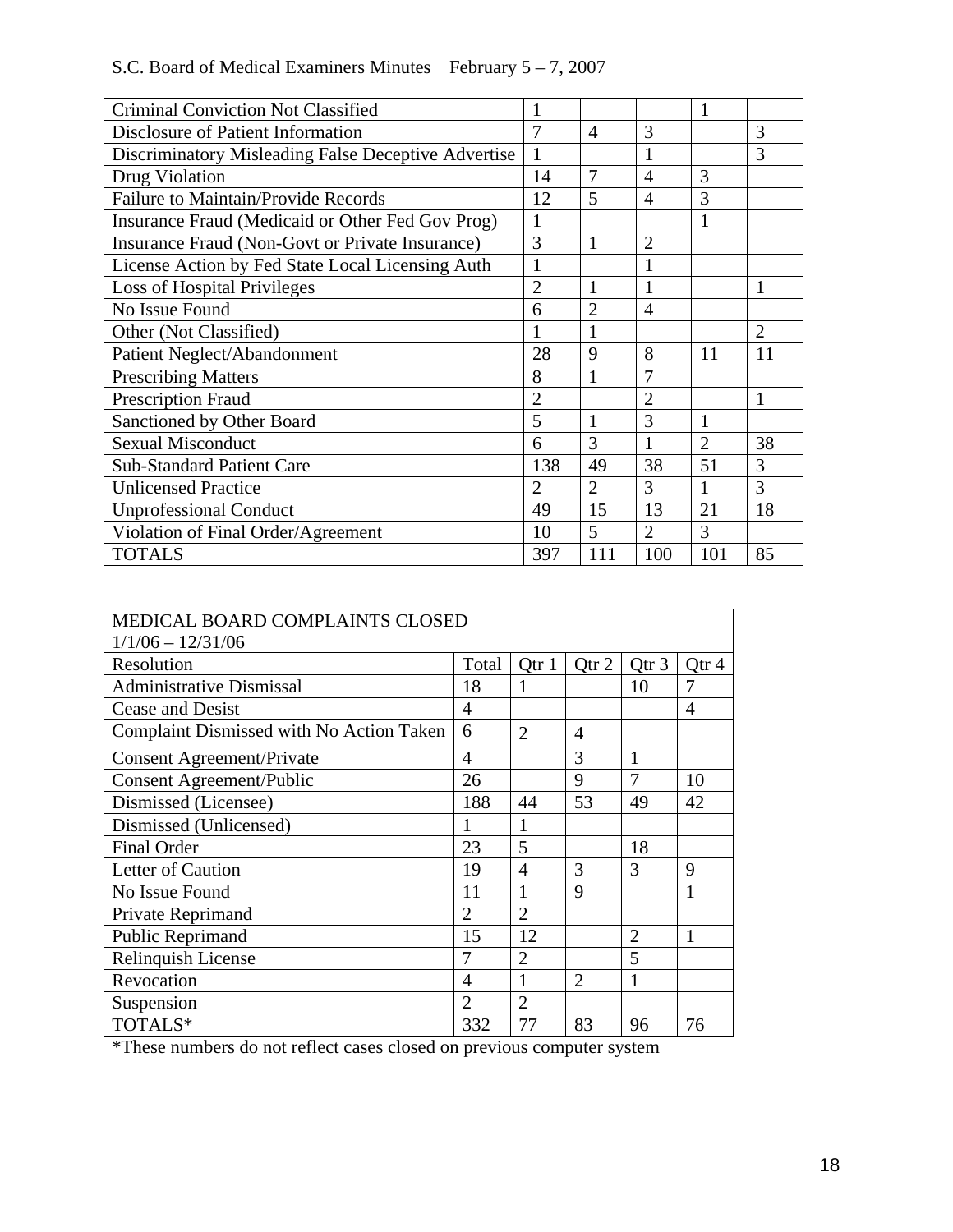| S.C. Board of Medical Examiners Minutes February $5 - 7$ , 2007 |  |
|-----------------------------------------------------------------|--|
|-----------------------------------------------------------------|--|

| <b>Criminal Conviction Not Classified</b>           |                |                |                | 1              |                |
|-----------------------------------------------------|----------------|----------------|----------------|----------------|----------------|
| Disclosure of Patient Information                   | 7              | 4              | 3              |                | 3              |
| Discriminatory Misleading False Deceptive Advertise | $\mathbf{1}$   |                | $\mathbf{1}$   |                | 3              |
| Drug Violation                                      | 14             | 7              | $\overline{4}$ | 3              |                |
| <b>Failure to Maintain/Provide Records</b>          | 12             | 5              | $\overline{4}$ | 3              |                |
| Insurance Fraud (Medicaid or Other Fed Gov Prog)    | 1              |                |                |                |                |
| Insurance Fraud (Non-Govt or Private Insurance)     | 3              | 1              | $\overline{2}$ |                |                |
| License Action by Fed State Local Licensing Auth    | $\mathbf{1}$   |                | $\mathbf{1}$   |                |                |
| Loss of Hospital Privileges                         | $\overline{2}$ | $\mathbf{1}$   | 1              |                |                |
| No Issue Found                                      | 6              | $\overline{2}$ | $\overline{4}$ |                |                |
| Other (Not Classified)                              |                |                |                |                | $\overline{2}$ |
| Patient Neglect/Abandonment                         | 28             | 9              | 8              | 11             | 11             |
| <b>Prescribing Matters</b>                          | 8              | 1              | 7              |                |                |
| <b>Prescription Fraud</b>                           | $\overline{2}$ |                | $\overline{2}$ |                | 1              |
| Sanctioned by Other Board                           | 5              | 1              | 3              | 1              |                |
| <b>Sexual Misconduct</b>                            | 6              | 3              | 1              | $\overline{2}$ | 38             |
| <b>Sub-Standard Patient Care</b>                    | 138            | 49             | 38             | 51             | 3              |
| <b>Unlicensed Practice</b>                          | $\overline{2}$ | $\overline{2}$ | $\overline{3}$ | 1              | 3              |
| <b>Unprofessional Conduct</b>                       | 49             | 15             | 13             | 21             | 18             |
| Violation of Final Order/Agreement                  | 10             | 5              | $\overline{2}$ | 3              |                |
| <b>TOTALS</b>                                       | 397            | 111            | 100            | 101            | 85             |

| MEDICAL BOARD COMPLAINTS CLOSED          |                |                |                  |                  |                |
|------------------------------------------|----------------|----------------|------------------|------------------|----------------|
| $1/1/06 - 12/31/06$                      |                |                |                  |                  |                |
| Resolution                               | Total          | Qtr 1          | Qtr <sub>2</sub> | Qtr <sub>3</sub> | Qtr 4          |
| <b>Administrative Dismissal</b>          | 18             | 1              |                  | 10               | 7              |
| <b>Cease and Desist</b>                  | 4              |                |                  |                  | $\overline{4}$ |
| Complaint Dismissed with No Action Taken | 6              | $\overline{2}$ | $\overline{4}$   |                  |                |
| <b>Consent Agreement/Private</b>         | 4              |                | 3                | 1                |                |
| <b>Consent Agreement/Public</b>          | 26             |                | 9                | 7                | 10             |
| Dismissed (Licensee)                     | 188            | 44             | 53               | 49               | 42             |
| Dismissed (Unlicensed)                   | 1              | 1              |                  |                  |                |
| <b>Final Order</b>                       | 23             | 5              |                  | 18               |                |
| Letter of Caution                        | 19             | $\overline{4}$ | 3                | 3                | 9              |
| No Issue Found                           | 11             | 1              | 9                |                  | 1              |
| Private Reprimand                        | $\overline{2}$ | $\overline{2}$ |                  |                  |                |
| Public Reprimand                         | 15             | 12             |                  | $\overline{2}$   | 1              |
| Relinquish License                       | 7              | $\overline{2}$ |                  | 5                |                |
| Revocation                               | 4              | 1              | $\overline{2}$   | 1                |                |
| Suspension                               | $\overline{2}$ | $\overline{2}$ |                  |                  |                |
| TOTALS*                                  | 332            | 77             | 83               | 96               | 76             |

\*These numbers do not reflect cases closed on previous computer system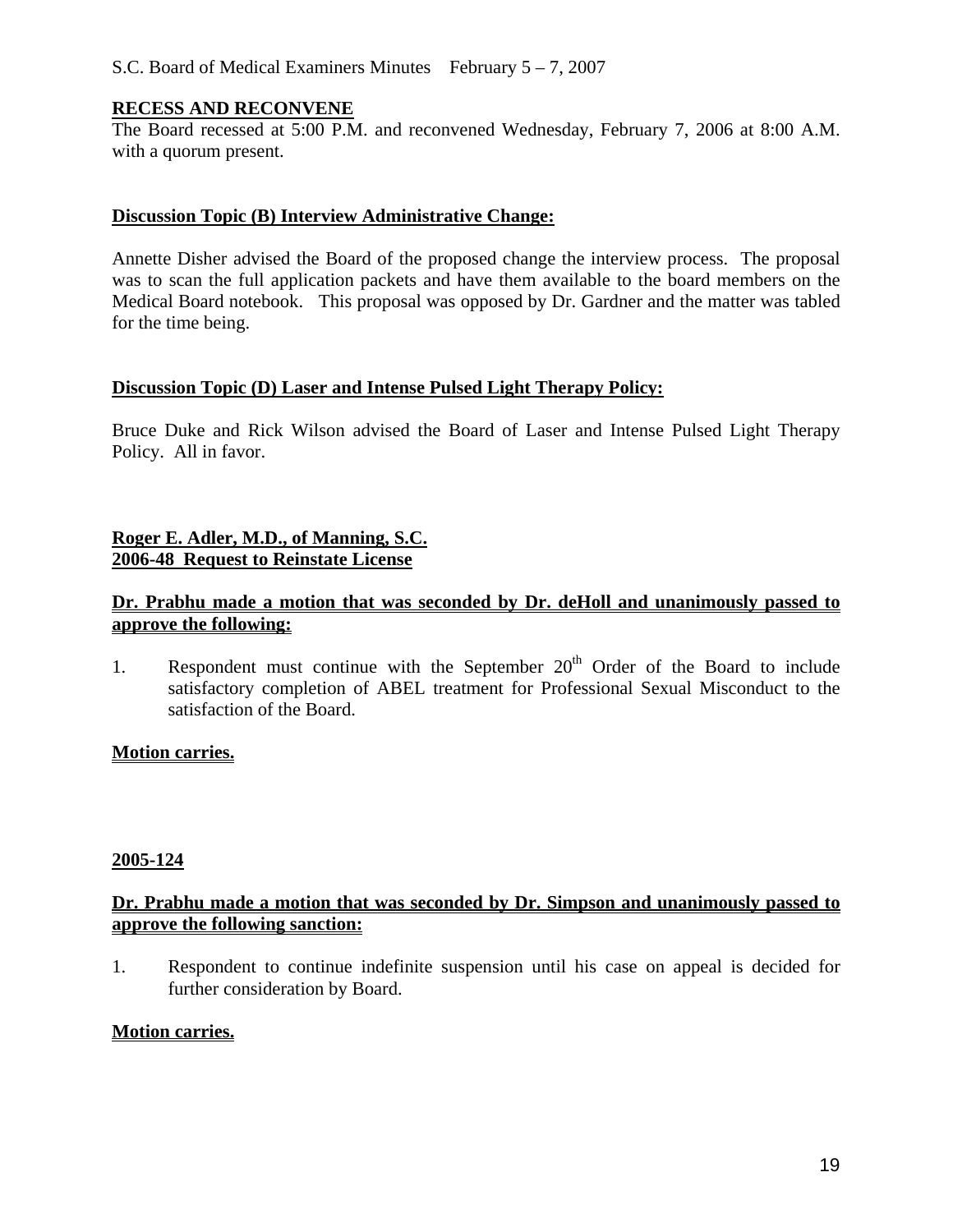#### S.C. Board of Medical Examiners Minutes February 5 – 7, 2007

#### **RECESS AND RECONVENE**

The Board recessed at 5:00 P.M. and reconvened Wednesday, February 7, 2006 at 8:00 A.M. with a quorum present.

#### **Discussion Topic (B) Interview Administrative Change:**

Annette Disher advised the Board of the proposed change the interview process. The proposal was to scan the full application packets and have them available to the board members on the Medical Board notebook. This proposal was opposed by Dr. Gardner and the matter was tabled for the time being.

#### **Discussion Topic (D) Laser and Intense Pulsed Light Therapy Policy:**

Bruce Duke and Rick Wilson advised the Board of Laser and Intense Pulsed Light Therapy Policy. All in favor.

# **Roger E. Adler, M.D., of Manning, S.C. 2006-48 Request to Reinstate License**

#### **Dr. Prabhu made a motion that was seconded by Dr. deHoll and unanimously passed to approve the following:**

1. Respondent must continue with the September  $20<sup>th</sup>$  Order of the Board to include satisfactory completion of ABEL treatment for Professional Sexual Misconduct to the satisfaction of the Board.

# **Motion carries.**

#### **2005-124**

#### **Dr. Prabhu made a motion that was seconded by Dr. Simpson and unanimously passed to approve the following sanction:**

1. Respondent to continue indefinite suspension until his case on appeal is decided for further consideration by Board.

#### **Motion carries.**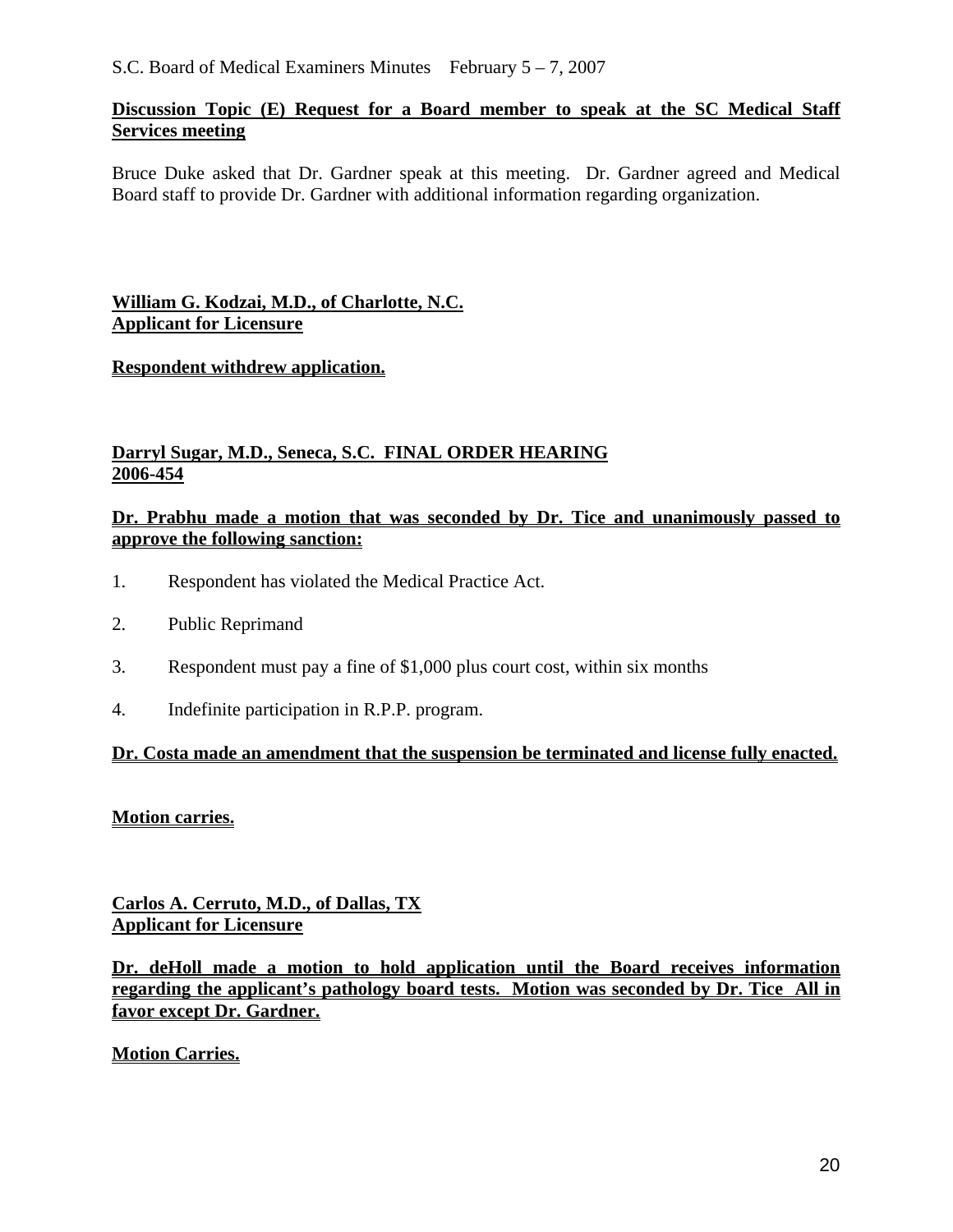## **Discussion Topic (E) Request for a Board member to speak at the SC Medical Staff Services meeting**

Bruce Duke asked that Dr. Gardner speak at this meeting. Dr. Gardner agreed and Medical Board staff to provide Dr. Gardner with additional information regarding organization.

# **William G. Kodzai, M.D., of Charlotte, N.C. Applicant for Licensure**

# **Respondent withdrew application.**

# **Darryl Sugar, M.D., Seneca, S.C. FINAL ORDER HEARING 2006-454**

## **Dr. Prabhu made a motion that was seconded by Dr. Tice and unanimously passed to approve the following sanction:**

- 1. Respondent has violated the Medical Practice Act.
- 2. Public Reprimand
- 3. Respondent must pay a fine of \$1,000 plus court cost, within six months
- 4. Indefinite participation in R.P.P. program.

#### **Dr. Costa made an amendment that the suspension be terminated and license fully enacted.**

#### **Motion carries.**

**Carlos A. Cerruto, M.D., of Dallas, TX Applicant for Licensure**

**Dr. deHoll made a motion to hold application until the Board receives information regarding the applicant's pathology board tests. Motion was seconded by Dr. Tice All in favor except Dr. Gardner.** 

**Motion Carries.**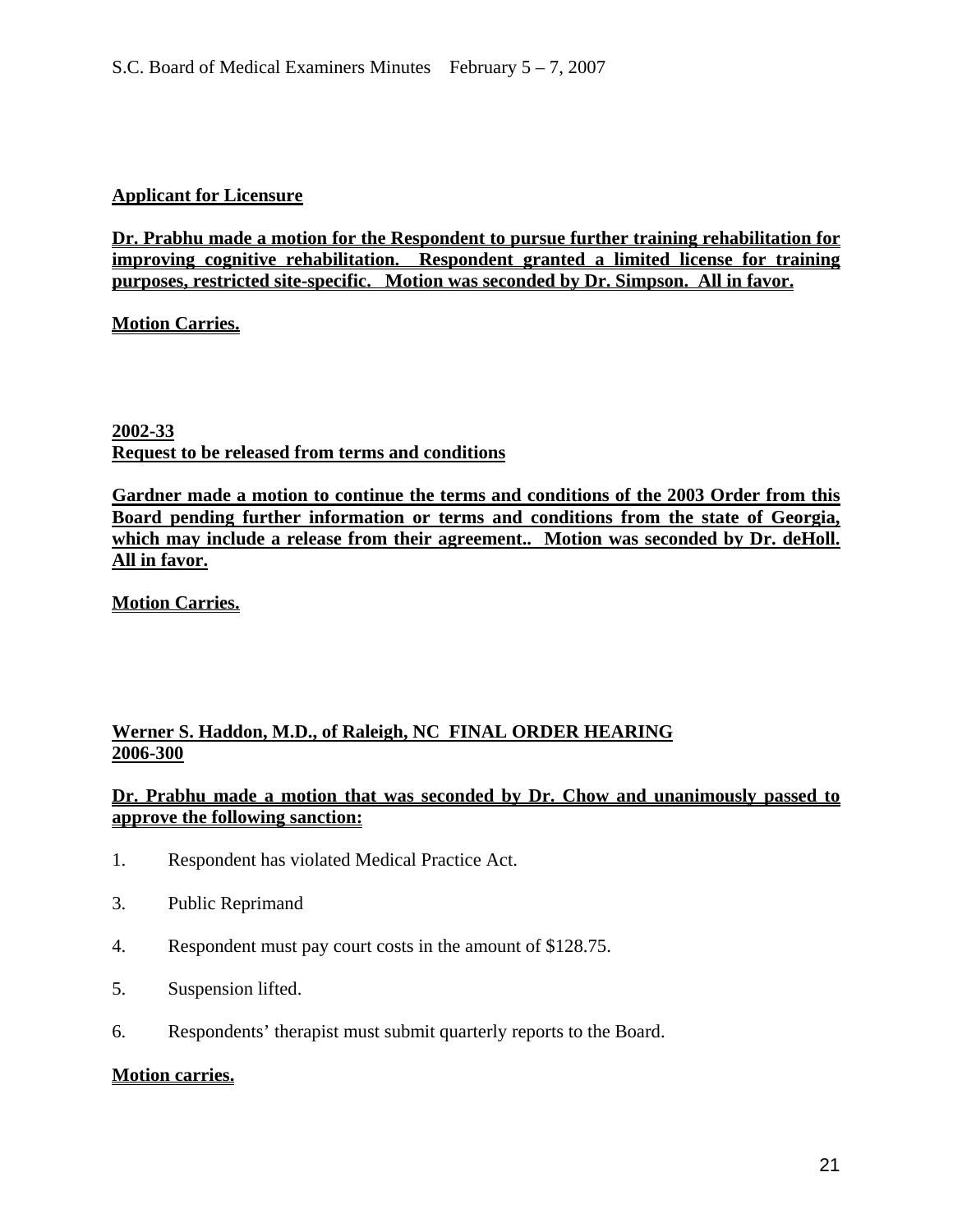#### **Applicant for Licensure**

**Dr. Prabhu made a motion for the Respondent to pursue further training rehabilitation for improving cognitive rehabilitation. Respondent granted a limited license for training purposes, restricted site-specific. Motion was seconded by Dr. Simpson. All in favor.** 

**Motion Carries.**

**2002-33 Request to be released from terms and conditions**

**Gardner made a motion to continue the terms and conditions of the 2003 Order from this Board pending further information or terms and conditions from the state of Georgia, which may include a release from their agreement.. Motion was seconded by Dr. deHoll. All in favor.**

**Motion Carries.**

# **Werner S. Haddon, M.D., of Raleigh, NC FINAL ORDER HEARING 2006-300**

# **Dr. Prabhu made a motion that was seconded by Dr. Chow and unanimously passed to approve the following sanction:**

- 1. Respondent has violated Medical Practice Act.
- 3. Public Reprimand
- 4. Respondent must pay court costs in the amount of \$128.75.
- 5. Suspension lifted.
- 6. Respondents' therapist must submit quarterly reports to the Board.

#### **Motion carries.**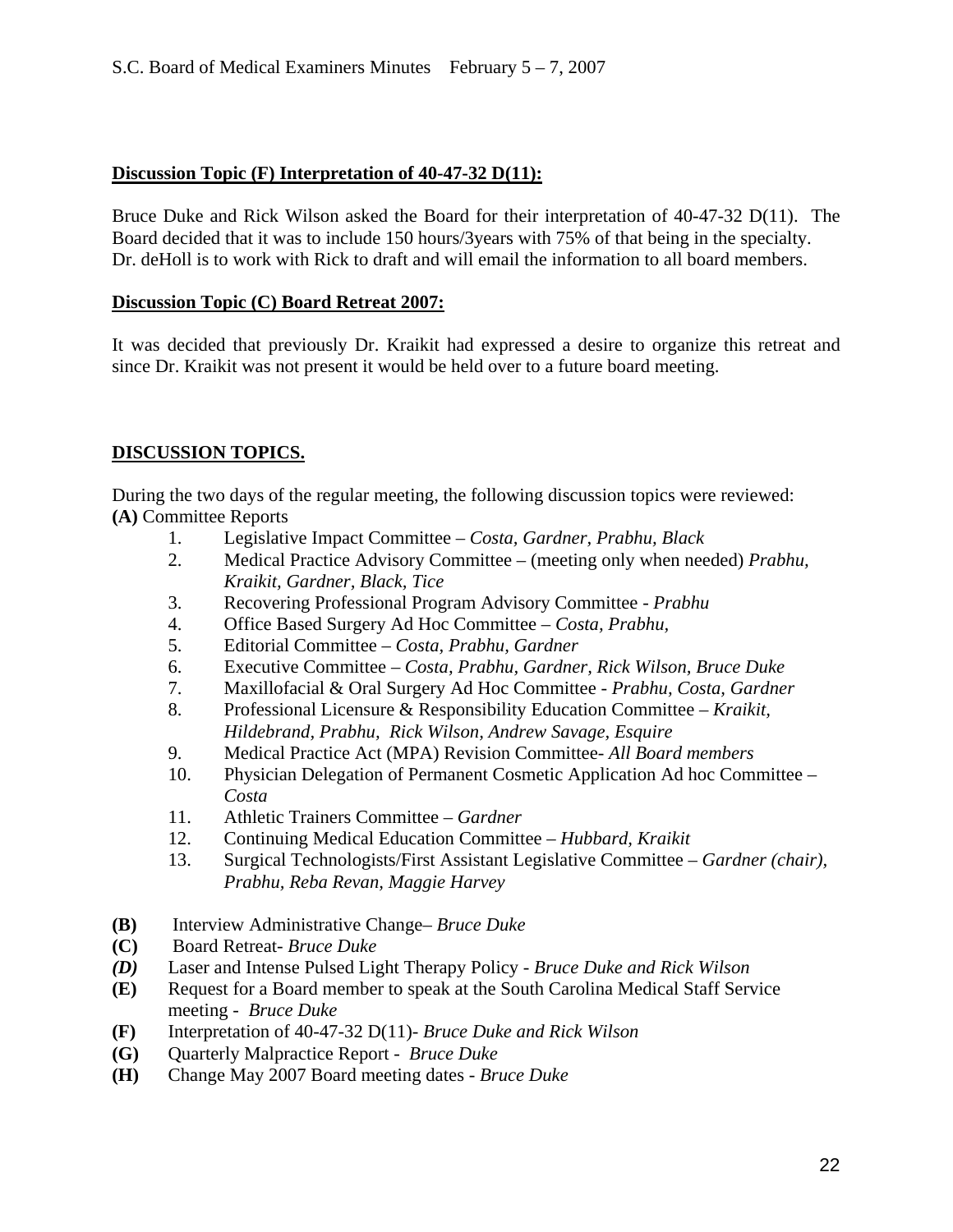#### **Discussion Topic (F) Interpretation of 40-47-32 D(11):**

Bruce Duke and Rick Wilson asked the Board for their interpretation of 40-47-32 D(11). The Board decided that it was to include 150 hours/3years with 75% of that being in the specialty. Dr. deHoll is to work with Rick to draft and will email the information to all board members.

#### **Discussion Topic (C) Board Retreat 2007:**

It was decided that previously Dr. Kraikit had expressed a desire to organize this retreat and since Dr. Kraikit was not present it would be held over to a future board meeting.

# **DISCUSSION TOPICS.**

During the two days of the regular meeting, the following discussion topics were reviewed: **(A)** Committee Reports

- 1. Legislative Impact Committee *Costa, Gardner, Prabhu, Black*
- 2. Medical Practice Advisory Committee (meeting only when needed) *Prabhu, Kraikit, Gardner, Black, Tice*
- 3. Recovering Professional Program Advisory Committee *Prabhu*
- 4. Office Based Surgery Ad Hoc Committee *Costa, Prabhu,*
- 5. Editorial Committee *Costa, Prabhu, Gardner*
- 6. Executive Committee *Costa, Prabhu, Gardner, Rick Wilson, Bruce Duke*
- 7. Maxillofacial & Oral Surgery Ad Hoc Committee  *Prabhu, Costa, Gardner*
- 8. Professional Licensure & Responsibility Education Committee *Kraikit, Hildebrand, Prabhu, Rick Wilson, Andrew Savage, Esquire*
- 9. Medical Practice Act (MPA) Revision Committee- *All Board members*
- 10. Physician Delegation of Permanent Cosmetic Application Ad hoc Committee *Costa*
- 11. Athletic Trainers Committee *Gardner*
- 12. Continuing Medical Education Committee *Hubbard, Kraikit*
- 13. Surgical Technologists/First Assistant Legislative Committee *Gardner (chair), Prabhu, Reba Revan, Maggie Harvey*
- **(B)** Interview Administrative Change– *Bruce Duke*
- **(C)** Board Retreat- *Bruce Duke*
- *(D)* Laser and Intense Pulsed Light Therapy Policy *Bruce Duke and Rick Wilson*
- **(E)** Request for a Board member to speak at the South Carolina Medical Staff Service meeting - *Bruce Duke*
- **(F)** Interpretation of 40-47-32 D(11)- *Bruce Duke and Rick Wilson*
- **(G)** Quarterly Malpractice Report *Bruce Duke*
- **(H)** Change May 2007 Board meeting dates *Bruce Duke*